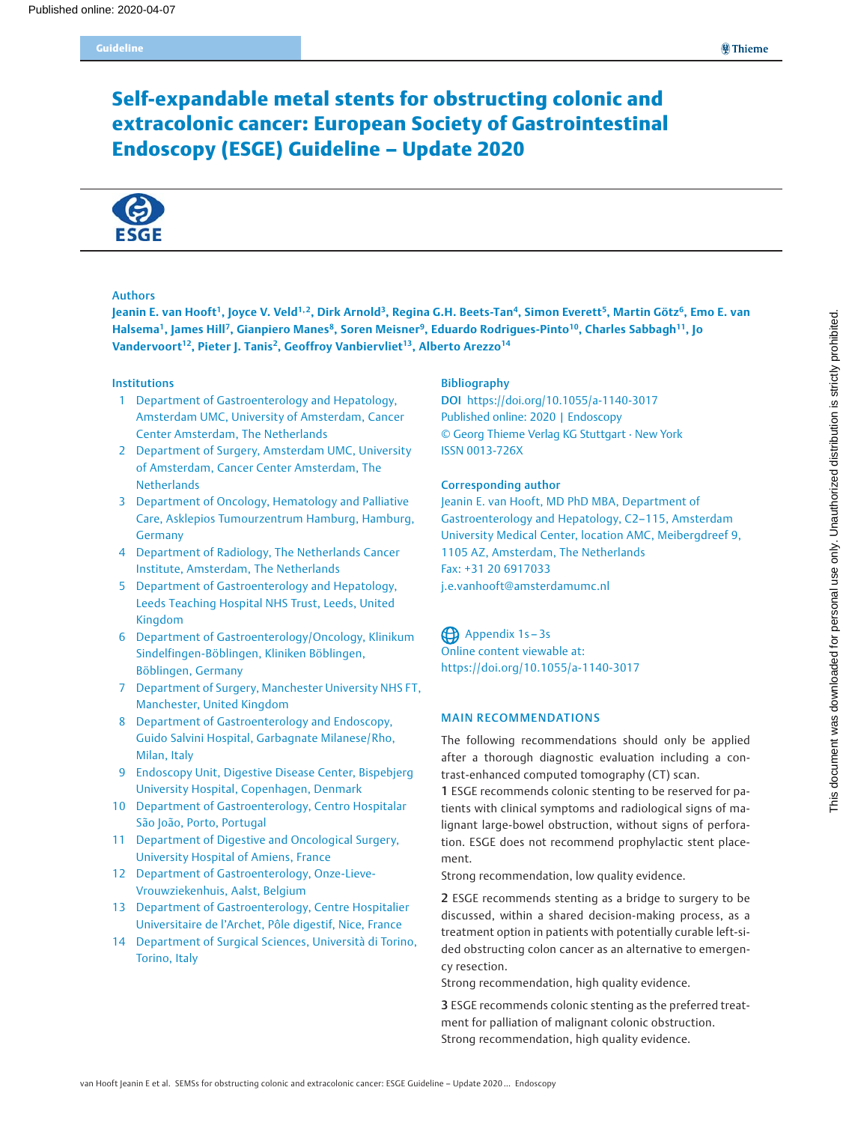# Self-expandable metal stents for obstructing colonic and extracolonic cancer: European Society of Gastrointestinal Endoscopy (ESGE) Guideline – Update 2020



### Authors

Jeanin E. van Hooft<sup>1</sup>, Joyce V. Veld<sup>1,2</sup>, Dirk Arnold<sup>3</sup>, Regina G.H. Beets-Tan<sup>4</sup>, Simon Everett<sup>5</sup>, Martin Götz<sup>6</sup>, Emo E. van Halsema<sup>1</sup>, James Hill<sup>7</sup>, Gianpiero Manes<sup>8</sup>, Soren Meisner<sup>9</sup>, Eduardo Rodrigues-Pinto<sup>10</sup>, Charles Sabbagh<sup>11</sup>, Jo Vandervoort<sup>12</sup>, Pieter J. Tanis<sup>2</sup>, Geoffroy Vanbiervliet<sup>13</sup>, Alberto Arezzo<sup>14</sup>

# Institutions

- 1 Department of Gastroenterology and Hepatology, Amsterdam UMC, University of Amsterdam, Cancer Center Amsterdam, The Netherlands
- 2 Department of Surgery, Amsterdam UMC, University of Amsterdam, Cancer Center Amsterdam, The **Netherlands**
- 3 Department of Oncology, Hematology and Palliative Care, Asklepios Tumourzentrum Hamburg, Hamburg, Germany
- 4 Department of Radiology, The Netherlands Cancer Institute, Amsterdam, The Netherlands
- 5 Department of Gastroenterology and Hepatology, Leeds Teaching Hospital NHS Trust, Leeds, United Kingdom
- 6 Department of Gastroenterology/Oncology, Klinikum Sindelfingen-Böblingen, Kliniken Böblingen, Böblingen, Germany
- 7 Department of Surgery, Manchester University NHS FT, Manchester, United Kingdom
- 8 Department of Gastroenterology and Endoscopy, Guido Salvini Hospital, Garbagnate Milanese/Rho, Milan, Italy
- 9 Endoscopy Unit, Digestive Disease Center, Bispebjerg University Hospital, Copenhagen, Denmark
- 10 Department of Gastroenterology, Centro Hospitalar São João, Porto, Portugal
- 11 Department of Digestive and Oncological Surgery, University Hospital of Amiens, France
- 12 Department of Gastroenterology, Onze-Lieve-Vrouwziekenhuis, Aalst, Belgium
- 13 Department of Gastroenterology, Centre Hospitalier Universitaire de l'Archet, Pôle digestif, Nice, France
- 14 Department of Surgical Sciences, Università di Torino, Torino, Italy

### Bibliography

DOI https://doi.org/10.1055/a-1140-3017 Published online: 2020 | Endoscopy © Georg Thieme Verlag KG Stuttgart · New York ISSN 0013-726X

## Corresponding author

Jeanin E. van Hooft, MD PhD MBA, Department of Gastroenterology and Hepatology, C2–115, Amsterdam University Medical Center, location AMC, Meibergdreef 9, 1105 AZ, Amsterdam, The Netherlands Fax: +31 20 6917033 j.e.vanhooft@amsterdamumc.nl

Appendix 1s - 3s Online content viewable at: https://doi.org/10.1055/a-1140-3017

## MAIN RECOMMENDATIONS

The following recommendations should only be applied after a thorough diagnostic evaluation including a contrast-enhanced computed tomography (CT) scan.

1 ESGE recommends colonic stenting to be reserved for patients with clinical symptoms and radiological signs of malignant large-bowel obstruction, without signs of perforation. ESGE does not recommend prophylactic stent placement.

Strong recommendation, low quality evidence.

2 ESGE recommends stenting as a bridge to surgery to be discussed, within a shared decision-making process, as a treatment option in patients with potentially curable left-sided obstructing colon cancer as an alternative to emergency resection.

Strong recommendation, high quality evidence.

3 ESGE recommends colonic stenting as the preferred treatment for palliation of malignant colonic obstruction. Strong recommendation, high quality evidence.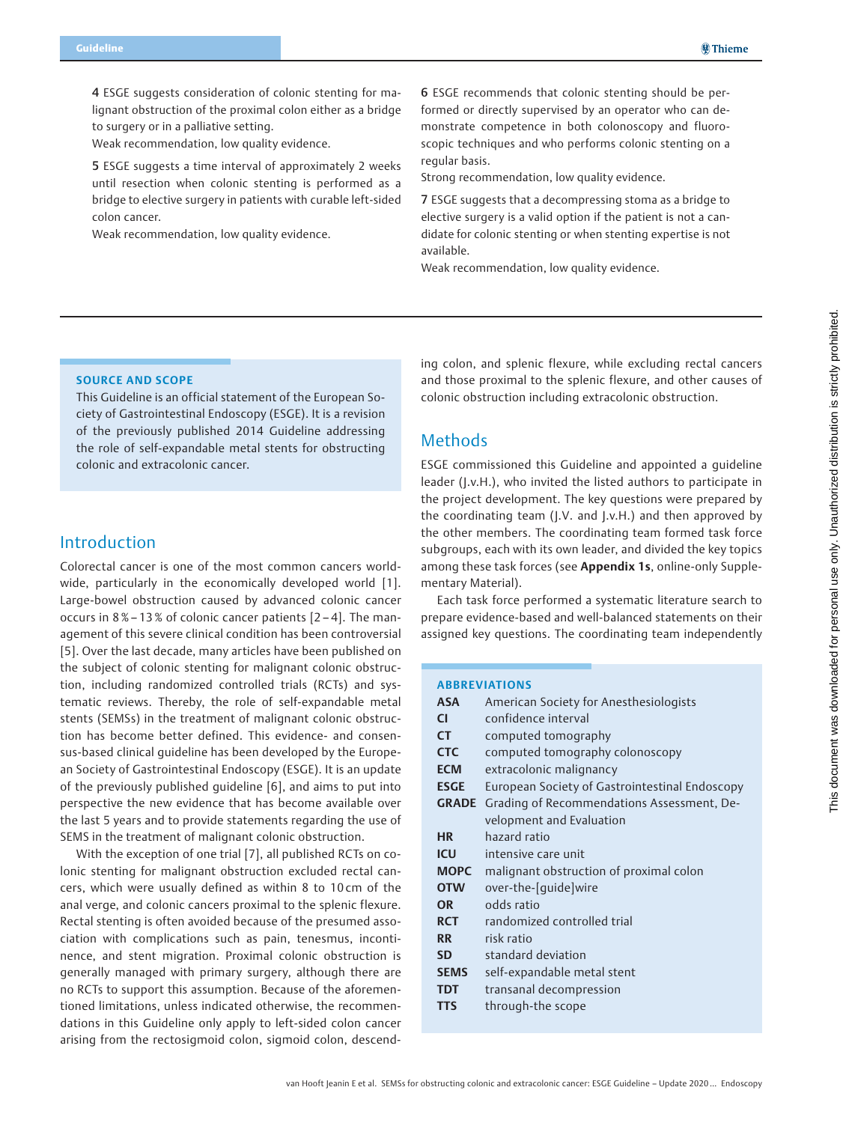4 ESGE suggests consideration of colonic stenting for malignant obstruction of the proximal colon either as a bridge to surgery or in a palliative setting.

Weak recommendation, low quality evidence.

5 ESGE suggests a time interval of approximately 2 weeks until resection when colonic stenting is performed as a bridge to elective surgery in patients with curable left-sided colon cancer.

Weak recommendation, low quality evidence.

6 ESGE recommends that colonic stenting should be performed or directly supervised by an operator who can demonstrate competence in both colonoscopy and fluoroscopic techniques and who performs colonic stenting on a regular basis.

Strong recommendation, low quality evidence.

7 ESGE suggests that a decompressing stoma as a bridge to elective surgery is a valid option if the patient is not a candidate for colonic stenting or when stenting expertise is not available.

Weak recommendation, low quality evidence.

### SOURCE AND SCOPE

This Guideline is an official statement of the European Society of Gastrointestinal Endoscopy (ESGE). It is a revision of the previously published 2014 Guideline addressing the role of self-expandable metal stents for obstructing colonic and extracolonic cancer.

# Introduction

Colorectal cancer is one of the most common cancers worldwide, particularly in the economically developed world [1]. Large-bowel obstruction caused by advanced colonic cancer occurs in 8 %– 13 % of colonic cancer patients [2 – 4]. The management of this severe clinical condition has been controversial [5]. Over the last decade, many articles have been published on the subject of colonic stenting for malignant colonic obstruction, including randomized controlled trials (RCTs) and systematic reviews. Thereby, the role of self-expandable metal stents (SEMSs) in the treatment of malignant colonic obstruction has become better defined. This evidence- and consensus-based clinical guideline has been developed by the European Society of Gastrointestinal Endoscopy (ESGE). It is an update of the previously published guideline [6], and aims to put into perspective the new evidence that has become available over the last 5 years and to provide statements regarding the use of SEMS in the treatment of malignant colonic obstruction.

With the exception of one trial [7], all published RCTs on colonic stenting for malignant obstruction excluded rectal cancers, which were usually defined as within 8 to 10 cm of the anal verge, and colonic cancers proximal to the splenic flexure. Rectal stenting is often avoided because of the presumed association with complications such as pain, tenesmus, incontinence, and stent migration. Proximal colonic obstruction is generally managed with primary surgery, although there are no RCTs to support this assumption. Because of the aforementioned limitations, unless indicated otherwise, the recommendations in this Guideline only apply to left-sided colon cancer arising from the rectosigmoid colon, sigmoid colon, descending colon, and splenic flexure, while excluding rectal cancers and those proximal to the splenic flexure, and other causes of colonic obstruction including extracolonic obstruction.

# Methods

ESGE commissioned this Guideline and appointed a guideline leader (J.v.H.), who invited the listed authors to participate in the project development. The key questions were prepared by the coordinating team (J.V. and J.v.H.) and then approved by the other members. The coordinating team formed task force subgroups, each with its own leader, and divided the key topics among these task forces (see Appendix 1s, online-only Supplementary Material).

Each task force performed a systematic literature search to prepare evidence-based and well-balanced statements on their assigned key questions. The coordinating team independently

### ABBREVIATIONS

| <b>ASA</b>   | American Society for Anesthesiologists         |  |  |  |  |
|--------------|------------------------------------------------|--|--|--|--|
| <b>CI</b>    | confidence interval                            |  |  |  |  |
| <b>CT</b>    | computed tomography                            |  |  |  |  |
| <b>CTC</b>   | computed tomography colonoscopy                |  |  |  |  |
| <b>ECM</b>   | extracolonic malignancy                        |  |  |  |  |
| <b>ESGE</b>  | European Society of Gastrointestinal Endoscopy |  |  |  |  |
| <b>GRADE</b> | Grading of Recommendations Assessment, De-     |  |  |  |  |
|              | velopment and Evaluation                       |  |  |  |  |
| <b>HR</b>    | hazard ratio                                   |  |  |  |  |
| ICU          | intensive care unit                            |  |  |  |  |
| <b>MOPC</b>  | malignant obstruction of proximal colon        |  |  |  |  |
| <b>OTW</b>   | over-the-[quide]wire                           |  |  |  |  |
| OR           | odds ratio                                     |  |  |  |  |
| <b>RCT</b>   | randomized controlled trial                    |  |  |  |  |
| <b>RR</b>    | risk ratio                                     |  |  |  |  |
| <b>SD</b>    | standard deviation                             |  |  |  |  |
| <b>SEMS</b>  | self-expandable metal stent                    |  |  |  |  |
| <b>TDT</b>   | transanal decompression                        |  |  |  |  |
| TTS          | through-the scope                              |  |  |  |  |
|              |                                                |  |  |  |  |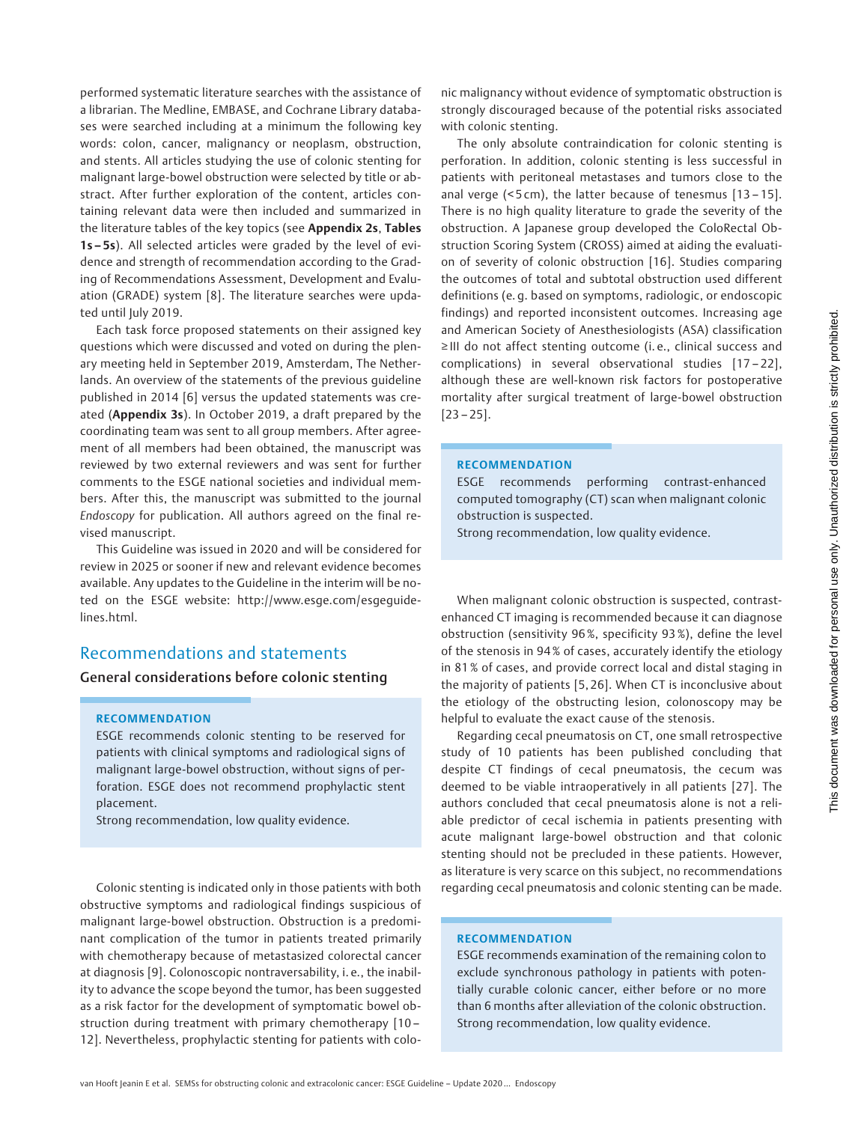performed systematic literature searches with the assistance of a librarian. The Medline, EMBASE, and Cochrane Library databases were searched including at a minimum the following key words: colon, cancer, malignancy or neoplasm, obstruction, and stents. All articles studying the use of colonic stenting for malignant large-bowel obstruction were selected by title or abstract. After further exploration of the content, articles containing relevant data were then included and summarized in the literature tables of the key topics (see Appendix 2s, Tables 1s-5s). All selected articles were graded by the level of evidence and strength of recommendation according to the Grading of Recommendations Assessment, Development and Evaluation (GRADE) system [8]. The literature searches were updated until July 2019.

Each task force proposed statements on their assigned key questions which were discussed and voted on during the plenary meeting held in September 2019, Amsterdam, The Netherlands. An overview of the statements of the previous guideline published in 2014 [6] versus the updated statements was created (Appendix 3s). In October 2019, a draft prepared by the coordinating team was sent to all group members. After agreement of all members had been obtained, the manuscript was reviewed by two external reviewers and was sent for further comments to the ESGE national societies and individual members. After this, the manuscript was submitted to the journal Endoscopy for publication. All authors agreed on the final revised manuscript.

This Guideline was issued in 2020 and will be considered for review in 2025 or sooner if new and relevant evidence becomes available. Any updates to the Guideline in the interim will be noted on the ESGE website: http://www.esge.com/esgeguidelines.html.

# Recommendations and statements

General considerations before colonic stenting

### RECOMMENDATION

ESGE recommends colonic stenting to be reserved for patients with clinical symptoms and radiological signs of malignant large-bowel obstruction, without signs of perforation. ESGE does not recommend prophylactic stent placement.

Strong recommendation, low quality evidence.

Colonic stenting is indicated only in those patients with both obstructive symptoms and radiological findings suspicious of malignant large-bowel obstruction. Obstruction is a predominant complication of the tumor in patients treated primarily with chemotherapy because of metastasized colorectal cancer at diagnosis [9]. Colonoscopic nontraversability, i. e., the inability to advance the scope beyond the tumor, has been suggested as a risk factor for the development of symptomatic bowel obstruction during treatment with primary chemotherapy [10 – 12]. Nevertheless, prophylactic stenting for patients with colonic malignancy without evidence of symptomatic obstruction is strongly discouraged because of the potential risks associated with colonic stenting.

The only absolute contraindication for colonic stenting is perforation. In addition, colonic stenting is less successful in patients with peritoneal metastases and tumors close to the anal verge (< 5 cm), the latter because of tenesmus [13 – 15]. There is no high quality literature to grade the severity of the obstruction. A Japanese group developed the ColoRectal Obstruction Scoring System (CROSS) aimed at aiding the evaluation of severity of colonic obstruction [16]. Studies comparing the outcomes of total and subtotal obstruction used different definitions (e. g. based on symptoms, radiologic, or endoscopic findings) and reported inconsistent outcomes. Increasing age and American Society of Anesthesiologists (ASA) classification ≥ III do not affect stenting outcome (i. e., clinical success and complications) in several observational studies [17 – 22], although these are well-known risk factors for postoperative mortality after surgical treatment of large-bowel obstruction  $[23 - 25]$ .

## RECOMMENDATION

ESGE recommends performing contrast-enhanced computed tomography (CT) scan when malignant colonic obstruction is suspected.

Strong recommendation, low quality evidence.

When malignant colonic obstruction is suspected, contrastenhanced CT imaging is recommended because it can diagnose obstruction (sensitivity 96 %, specificity 93 %), define the level of the stenosis in 94 % of cases, accurately identify the etiology in 81 % of cases, and provide correct local and distal staging in the majority of patients [5, 26]. When CT is inconclusive about the etiology of the obstructing lesion, colonoscopy may be helpful to evaluate the exact cause of the stenosis.

Regarding cecal pneumatosis on CT, one small retrospective study of 10 patients has been published concluding that despite CT findings of cecal pneumatosis, the cecum was deemed to be viable intraoperatively in all patients [27]. The authors concluded that cecal pneumatosis alone is not a reliable predictor of cecal ischemia in patients presenting with acute malignant large-bowel obstruction and that colonic stenting should not be precluded in these patients. However, as literature is very scarce on this subject, no recommendations regarding cecal pneumatosis and colonic stenting can be made.

# RECOMMENDATION

ESGE recommends examination of the remaining colon to exclude synchronous pathology in patients with potentially curable colonic cancer, either before or no more than 6 months after alleviation of the colonic obstruction. Strong recommendation, low quality evidence.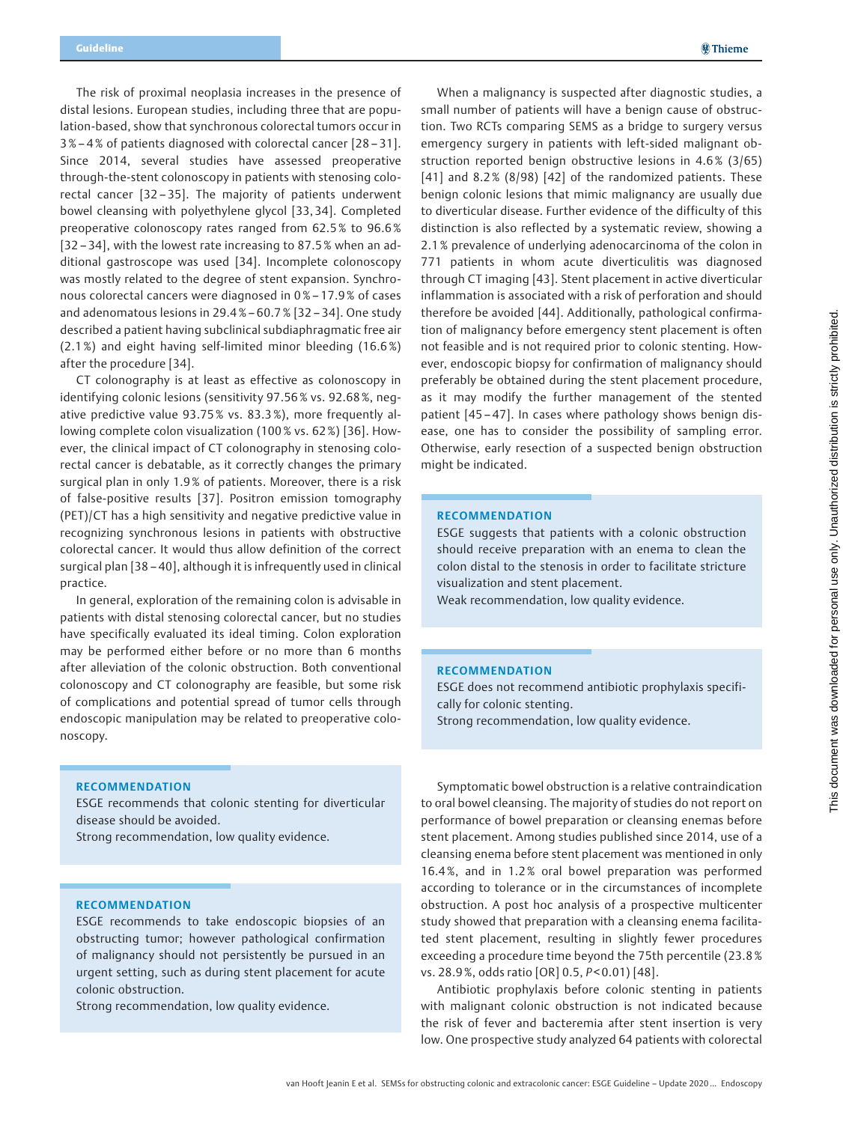The risk of proximal neoplasia increases in the presence of distal lesions. European studies, including three that are population-based, show that synchronous colorectal tumors occur in 3 %– 4 % of patients diagnosed with colorectal cancer [28 – 31]. Since 2014, several studies have assessed preoperative through-the-stent colonoscopy in patients with stenosing colorectal cancer [32 – 35]. The majority of patients underwent bowel cleansing with polyethylene glycol [33, 34]. Completed preoperative colonoscopy rates ranged from 62.5 % to 96.6 % [32 – 34], with the lowest rate increasing to 87.5 % when an additional gastroscope was used [34]. Incomplete colonoscopy was mostly related to the degree of stent expansion. Synchronous colorectal cancers were diagnosed in 0 %– 17.9 % of cases and adenomatous lesions in 29.4 % – 60.7% [32 – 34]. One study described a patient having subclinical subdiaphragmatic free air (2.1 %) and eight having self-limited minor bleeding (16.6 %) after the procedure [34].

CT colonography is at least as effective as colonoscopy in identifying colonic lesions (sensitivity 97.56 % vs. 92.68 %, negative predictive value 93.75 % vs. 83.3 %), more frequently allowing complete colon visualization (100% vs. 62%) [36]. However, the clinical impact of CT colonography in stenosing colorectal cancer is debatable, as it correctly changes the primary surgical plan in only 1.9 % of patients. Moreover, there is a risk of false-positive results [37]. Positron emission tomography (PET)/CT has a high sensitivity and negative predictive value in recognizing synchronous lesions in patients with obstructive colorectal cancer. It would thus allow definition of the correct surgical plan [38 – 40], although it is infrequently used in clinical practice.

In general, exploration of the remaining colon is advisable in patients with distal stenosing colorectal cancer, but no studies have specifically evaluated its ideal timing. Colon exploration may be performed either before or no more than 6 months after alleviation of the colonic obstruction. Both conventional colonoscopy and CT colonography are feasible, but some risk of complications and potential spread of tumor cells through endoscopic manipulation may be related to preoperative colonoscopy.

When a malignancy is suspected after diagnostic studies, a small number of patients will have a benign cause of obstruction. Two RCTs comparing SEMS as a bridge to surgery versus emergency surgery in patients with left-sided malignant obstruction reported benign obstructive lesions in 4.6 % (3/65) [41] and 8.2% (8/98) [42] of the randomized patients. These benign colonic lesions that mimic malignancy are usually due to diverticular disease. Further evidence of the difficulty of this distinction is also reflected by a systematic review, showing a 2.1 % prevalence of underlying adenocarcinoma of the colon in 771 patients in whom acute diverticulitis was diagnosed through CT imaging [43]. Stent placement in active diverticular inflammation is associated with a risk of perforation and should therefore be avoided [44]. Additionally, pathological confirmation of malignancy before emergency stent placement is often not feasible and is not required prior to colonic stenting. However, endoscopic biopsy for confirmation of malignancy should preferably be obtained during the stent placement procedure, as it may modify the further management of the stented patient [45 – 47]. In cases where pathology shows benign disease, one has to consider the possibility of sampling error. Otherwise, early resection of a suspected benign obstruction might be indicated.

### RECOMMENDATION

ESGE suggests that patients with a colonic obstruction should receive preparation with an enema to clean the colon distal to the stenosis in order to facilitate stricture visualization and stent placement.

Weak recommendation, low quality evidence.

### RECOMMENDATION

ESGE does not recommend antibiotic prophylaxis specifically for colonic stenting.

Strong recommendation, low quality evidence.

### RECOMMENDATION

ESGE recommends that colonic stenting for diverticular disease should be avoided.

Strong recommendation, low quality evidence.

### RECOMMENDATION

ESGE recommends to take endoscopic biopsies of an obstructing tumor; however pathological confirmation of malignancy should not persistently be pursued in an urgent setting, such as during stent placement for acute colonic obstruction.

Strong recommendation, low quality evidence.

Symptomatic bowel obstruction is a relative contraindication to oral bowel cleansing. The majority of studies do not report on performance of bowel preparation or cleansing enemas before stent placement. Among studies published since 2014, use of a cleansing enema before stent placement was mentioned in only 16.4 %, and in 1.2 % oral bowel preparation was performed according to tolerance or in the circumstances of incomplete obstruction. A post hoc analysis of a prospective multicenter study showed that preparation with a cleansing enema facilitated stent placement, resulting in slightly fewer procedures exceeding a procedure time beyond the 75th percentile (23.8 % vs. 28.9 %, odds ratio [OR] 0.5, P < 0.01) [48].

Antibiotic prophylaxis before colonic stenting in patients with malignant colonic obstruction is not indicated because the risk of fever and bacteremia after stent insertion is very low. One prospective study analyzed 64 patients with colorectal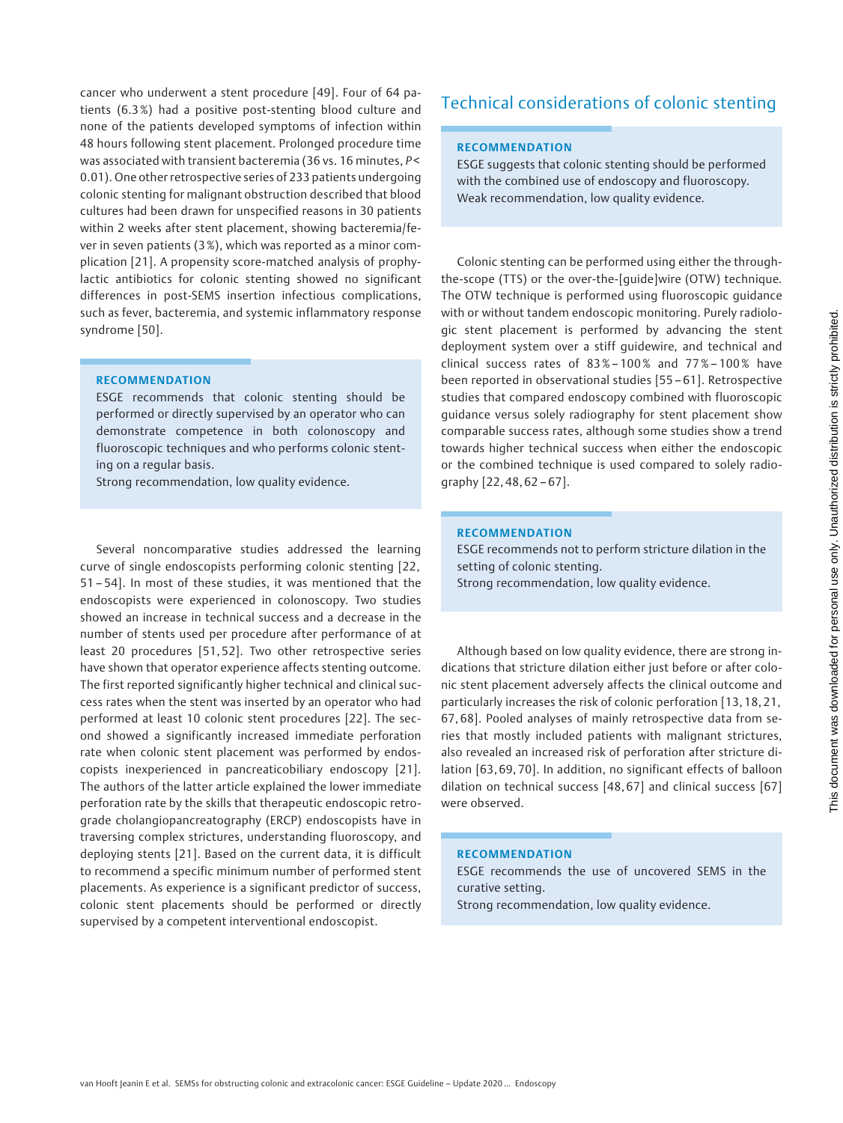cancer who underwent a stent procedure [49]. Four of 64 patients (6.3 %) had a positive post-stenting blood culture and none of the patients developed symptoms of infection within 48 hours following stent placement. Prolonged procedure time was associated with transient bacteremia (36 vs. 16 minutes, P< 0.01). One other retrospective series of 233 patients undergoing colonic stenting for malignant obstruction described that blood cultures had been drawn for unspecified reasons in 30 patients within 2 weeks after stent placement, showing bacteremia/fever in seven patients (3 %), which was reported as a minor complication [21]. A propensity score-matched analysis of prophylactic antibiotics for colonic stenting showed no significant differences in post-SEMS insertion infectious complications, such as fever, bacteremia, and systemic inflammatory response syndrome [50].

### RECOMMENDATION

ESGE recommends that colonic stenting should be performed or directly supervised by an operator who can demonstrate competence in both colonoscopy and fluoroscopic techniques and who performs colonic stenting on a regular basis.

Strong recommendation, low quality evidence.

Several noncomparative studies addressed the learning curve of single endoscopists performing colonic stenting [22, 51 – 54]. In most of these studies, it was mentioned that the endoscopists were experienced in colonoscopy. Two studies showed an increase in technical success and a decrease in the number of stents used per procedure after performance of at least 20 procedures [51, 52]. Two other retrospective series have shown that operator experience affects stenting outcome. The first reported significantly higher technical and clinical success rates when the stent was inserted by an operator who had performed at least 10 colonic stent procedures [22]. The second showed a significantly increased immediate perforation rate when colonic stent placement was performed by endoscopists inexperienced in pancreaticobiliary endoscopy [21]. The authors of the latter article explained the lower immediate perforation rate by the skills that therapeutic endoscopic retrograde cholangiopancreatography (ERCP) endoscopists have in traversing complex strictures, understanding fluoroscopy, and deploying stents [21]. Based on the current data, it is difficult to recommend a specific minimum number of performed stent placements. As experience is a significant predictor of success, colonic stent placements should be performed or directly supervised by a competent interventional endoscopist.

# Technical considerations of colonic stenting

### RECOMMENDATION

ESGE suggests that colonic stenting should be performed with the combined use of endoscopy and fluoroscopy. Weak recommendation, low quality evidence.

Colonic stenting can be performed using either the throughthe-scope (TTS) or the over-the-[guide]wire (OTW) technique. The OTW technique is performed using fluoroscopic guidance with or without tandem endoscopic monitoring. Purely radiologic stent placement is performed by advancing the stent deployment system over a stiff guidewire, and technical and clinical success rates of  $83\% - 100\%$  and  $77\% - 100\%$  have been reported in observational studies [55 – 61]. Retrospective studies that compared endoscopy combined with fluoroscopic guidance versus solely radiography for stent placement show comparable success rates, although some studies show a trend towards higher technical success when either the endoscopic or the combined technique is used compared to solely radiography [22, 48, 62 – 67].

### RECOMMENDATION

ESGE recommends not to perform stricture dilation in the setting of colonic stenting. Strong recommendation, low quality evidence.

Although based on low quality evidence, there are strong indications that stricture dilation either just before or after colonic stent placement adversely affects the clinical outcome and particularly increases the risk of colonic perforation [13, 18, 21, 67, 68]. Pooled analyses of mainly retrospective data from series that mostly included patients with malignant strictures, also revealed an increased risk of perforation after stricture dilation [63, 69, 70]. In addition, no significant effects of balloon dilation on technical success [48, 67] and clinical success [67] were observed.

## RECOMMENDATION

ESGE recommends the use of uncovered SEMS in the curative setting. Strong recommendation, low quality evidence.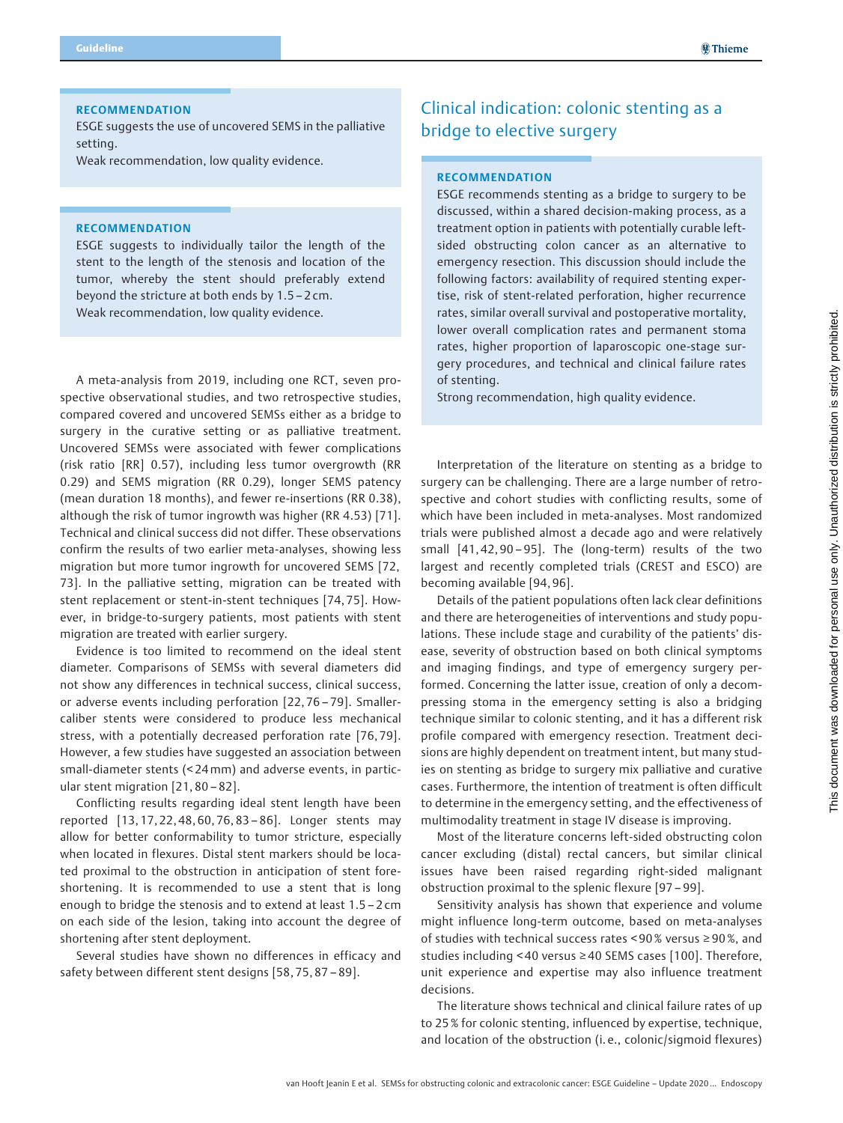### RECOMMENDATION

ESGE suggests the use of uncovered SEMS in the palliative setting.

Weak recommendation, low quality evidence.

### RECOMMENDATION

ESGE suggests to individually tailor the length of the stent to the length of the stenosis and location of the tumor, whereby the stent should preferably extend beyond the stricture at both ends by 1.5 – 2 cm. Weak recommendation, low quality evidence.

A meta-analysis from 2019, including one RCT, seven prospective observational studies, and two retrospective studies, compared covered and uncovered SEMSs either as a bridge to surgery in the curative setting or as palliative treatment. Uncovered SEMSs were associated with fewer complications (risk ratio [RR] 0.57), including less tumor overgrowth (RR 0.29) and SEMS migration (RR 0.29), longer SEMS patency (mean duration 18 months), and fewer re-insertions (RR 0.38), although the risk of tumor ingrowth was higher (RR 4.53) [71]. Technical and clinical success did not differ. These observations confirm the results of two earlier meta-analyses, showing less migration but more tumor ingrowth for uncovered SEMS [72, 73]. In the palliative setting, migration can be treated with stent replacement or stent-in-stent techniques [74, 75]. However, in bridge-to-surgery patients, most patients with stent migration are treated with earlier surgery.

Evidence is too limited to recommend on the ideal stent diameter. Comparisons of SEMSs with several diameters did not show any differences in technical success, clinical success, or adverse events including perforation [22, 76 – 79]. Smallercaliber stents were considered to produce less mechanical stress, with a potentially decreased perforation rate [76, 79]. However, a few studies have suggested an association between small-diameter stents (< 24mm) and adverse events, in particular stent migration [21, 80 – 82].

Conflicting results regarding ideal stent length have been reported [13, 17, 22, 48, 60, 76, 83 – 86]. Longer stents may allow for better conformability to tumor stricture, especially when located in flexures. Distal stent markers should be located proximal to the obstruction in anticipation of stent foreshortening. It is recommended to use a stent that is long enough to bridge the stenosis and to extend at least 1.5 – 2 cm on each side of the lesion, taking into account the degree of shortening after stent deployment.

Several studies have shown no differences in efficacy and safety between different stent designs [58, 75, 87 – 89].

# Clinical indication: colonic stenting as a bridge to elective surgery

## RECOMMENDATION

ESGE recommends stenting as a bridge to surgery to be discussed, within a shared decision-making process, as a treatment option in patients with potentially curable leftsided obstructing colon cancer as an alternative to emergency resection. This discussion should include the following factors: availability of required stenting expertise, risk of stent-related perforation, higher recurrence rates, similar overall survival and postoperative mortality, lower overall complication rates and permanent stoma rates, higher proportion of laparoscopic one-stage surgery procedures, and technical and clinical failure rates of stenting.

Strong recommendation, high quality evidence.

Interpretation of the literature on stenting as a bridge to surgery can be challenging. There are a large number of retrospective and cohort studies with conflicting results, some of which have been included in meta-analyses. Most randomized trials were published almost a decade ago and were relatively small [41, 42, 90 – 95]. The (long-term) results of the two largest and recently completed trials (CREST and ESCO) are becoming available [94, 96].

Details of the patient populations often lack clear definitions and there are heterogeneities of interventions and study populations. These include stage and curability of the patients' disease, severity of obstruction based on both clinical symptoms and imaging findings, and type of emergency surgery performed. Concerning the latter issue, creation of only a decompressing stoma in the emergency setting is also a bridging technique similar to colonic stenting, and it has a different risk profile compared with emergency resection. Treatment decisions are highly dependent on treatment intent, but many studies on stenting as bridge to surgery mix palliative and curative cases. Furthermore, the intention of treatment is often difficult to determine in the emergency setting, and the effectiveness of multimodality treatment in stage IV disease is improving.

Most of the literature concerns left-sided obstructing colon cancer excluding (distal) rectal cancers, but similar clinical issues have been raised regarding right-sided malignant obstruction proximal to the splenic flexure [97 – 99].

Sensitivity analysis has shown that experience and volume might influence long-term outcome, based on meta-analyses of studies with technical success rates < 90 % versus ≥ 90%, and studies including < 40 versus ≥ 40 SEMS cases [100]. Therefore, unit experience and expertise may also influence treatment decisions.

The literature shows technical and clinical failure rates of up to 25 % for colonic stenting, influenced by expertise, technique, and location of the obstruction (i. e., colonic/sigmoid flexures)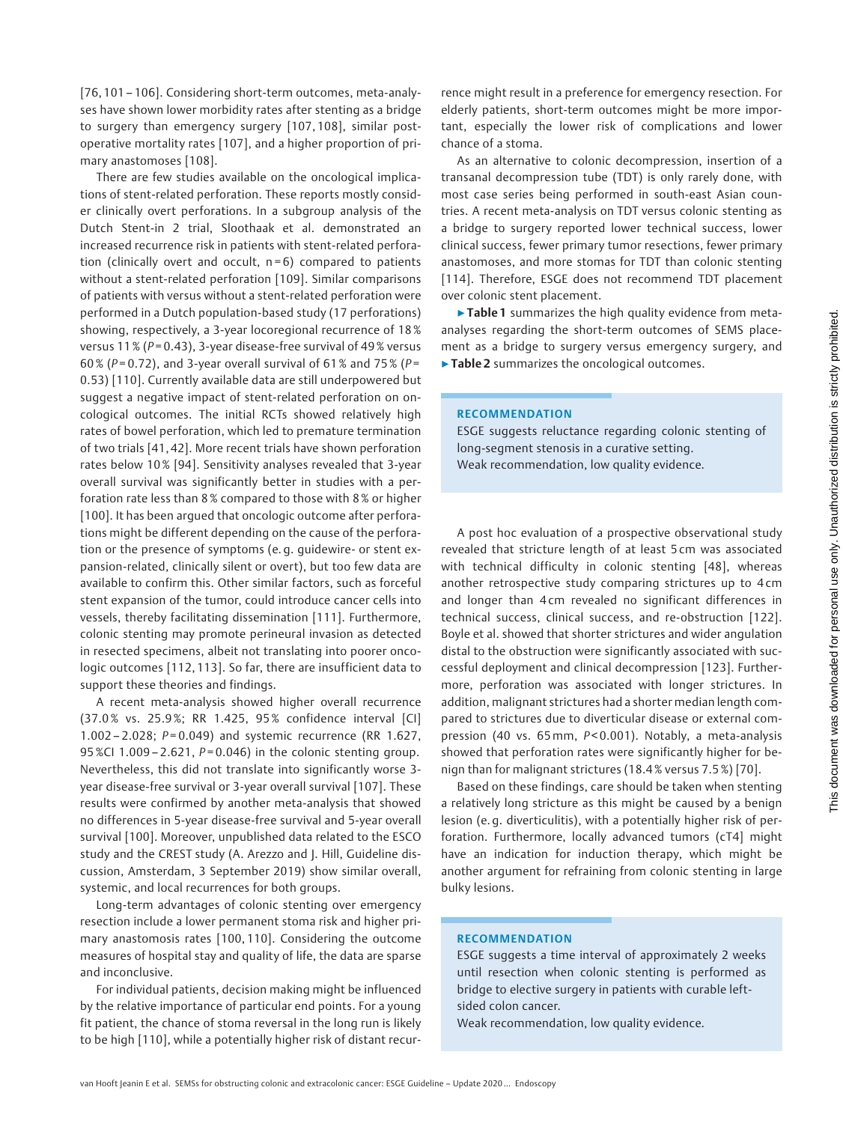[76, 101 – 106]. Considering short-term outcomes, meta-analyses have shown lower morbidity rates after stenting as a bridge to surgery than emergency surgery [107, 108], similar postoperative mortality rates [107], and a higher proportion of primary anastomoses [108].

There are few studies available on the oncological implications of stent-related perforation. These reports mostly consider clinically overt perforations. In a subgroup analysis of the Dutch Stent-in 2 trial, Sloothaak et al. demonstrated an increased recurrence risk in patients with stent-related perforation (clinically overt and occult,  $n=6$ ) compared to patients without a stent-related perforation [109]. Similar comparisons of patients with versus without a stent-related perforation were performed in a Dutch population-based study (17 perforations) showing, respectively, a 3-year locoregional recurrence of 18 % versus 11 % ( $P = 0.43$ ), 3-year disease-free survival of 49 % versus 60% (P=0.72), and 3-year overall survival of 61% and 75% (P= 0.53) [110]. Currently available data are still underpowered but suggest a negative impact of stent-related perforation on oncological outcomes. The initial RCTs showed relatively high rates of bowel perforation, which led to premature termination of two trials [41, 42]. More recent trials have shown perforation rates below 10 % [94]. Sensitivity analyses revealed that 3-year overall survival was significantly better in studies with a perforation rate less than 8 % compared to those with 8 % or higher [100]. It has been arqued that oncologic outcome after perforations might be different depending on the cause of the perforation or the presence of symptoms (e. g. guidewire- or stent expansion-related, clinically silent or overt), but too few data are available to confirm this. Other similar factors, such as forceful stent expansion of the tumor, could introduce cancer cells into vessels, thereby facilitating dissemination [111]. Furthermore, colonic stenting may promote perineural invasion as detected in resected specimens, albeit not translating into poorer oncologic outcomes [112, 113]. So far, there are insufficient data to support these theories and findings.

A recent meta-analysis showed higher overall recurrence (37.0 % vs. 25.9 %; RR 1.425, 95 % confidence interval [CI] 1.002 – 2.028;  $P = 0.049$ ) and systemic recurrence (RR 1.627, 95 %CI 1.009 – 2.621,  $P = 0.046$ ) in the colonic stenting group. Nevertheless, this did not translate into significantly worse 3 year disease-free survival or 3-year overall survival [107]. These results were confirmed by another meta-analysis that showed no differences in 5-year disease-free survival and 5-year overall survival [100]. Moreover, unpublished data related to the ESCO study and the CREST study (A. Arezzo and J. Hill, Guideline discussion, Amsterdam, 3 September 2019) show similar overall, systemic, and local recurrences for both groups.

Long-term advantages of colonic stenting over emergency resection include a lower permanent stoma risk and higher primary anastomosis rates [100, 110]. Considering the outcome measures of hospital stay and quality of life, the data are sparse and inconclusive.

For individual patients, decision making might be influenced by the relative importance of particular end points. For a young fit patient, the chance of stoma reversal in the long run is likely to be high [110], while a potentially higher risk of distant recurrence might result in a preference for emergency resection. For elderly patients, short-term outcomes might be more important, especially the lower risk of complications and lower chance of a stoma.

As an alternative to colonic decompression, insertion of a transanal decompression tube (TDT) is only rarely done, with most case series being performed in south-east Asian countries. A recent meta-analysis on TDT versus colonic stenting as a bridge to surgery reported lower technical success, lower clinical success, fewer primary tumor resections, fewer primary anastomoses, and more stomas for TDT than colonic stenting [114]. Therefore, ESGE does not recommend TDT placement over colonic stent placement.

▶ Table 1 summarizes the high quality evidence from metaanalyses regarding the short-term outcomes of SEMS placement as a bridge to surgery versus emergency surgery, and ▶ Table 2 summarizes the oncological outcomes.

#### RECOMMENDATION

ESGE suggests reluctance regarding colonic stenting of long-segment stenosis in a curative setting. Weak recommendation, low quality evidence.

A post hoc evaluation of a prospective observational study revealed that stricture length of at least 5 cm was associated with technical difficulty in colonic stenting [48], whereas another retrospective study comparing strictures up to 4 cm and longer than 4 cm revealed no significant differences in technical success, clinical success, and re-obstruction [122]. Boyle et al. showed that shorter strictures and wider angulation distal to the obstruction were significantly associated with successful deployment and clinical decompression [123]. Furthermore, perforation was associated with longer strictures. In addition, malignant strictures had a shorter median length compared to strictures due to diverticular disease or external compression (40 vs. 65 mm, P<0.001). Notably, a meta-analysis showed that perforation rates were significantly higher for benign than for malignant strictures (18.4 % versus 7.5 %) [70].

Based on these findings, care should be taken when stenting a relatively long stricture as this might be caused by a benign lesion (e. g. diverticulitis), with a potentially higher risk of perforation. Furthermore, locally advanced tumors (cT4] might have an indication for induction therapy, which might be another argument for refraining from colonic stenting in large bulky lesions.

### RECOMMENDATION

ESGE suggests a time interval of approximately 2 weeks until resection when colonic stenting is performed as bridge to elective surgery in patients with curable leftsided colon cancer.

Weak recommendation, low quality evidence.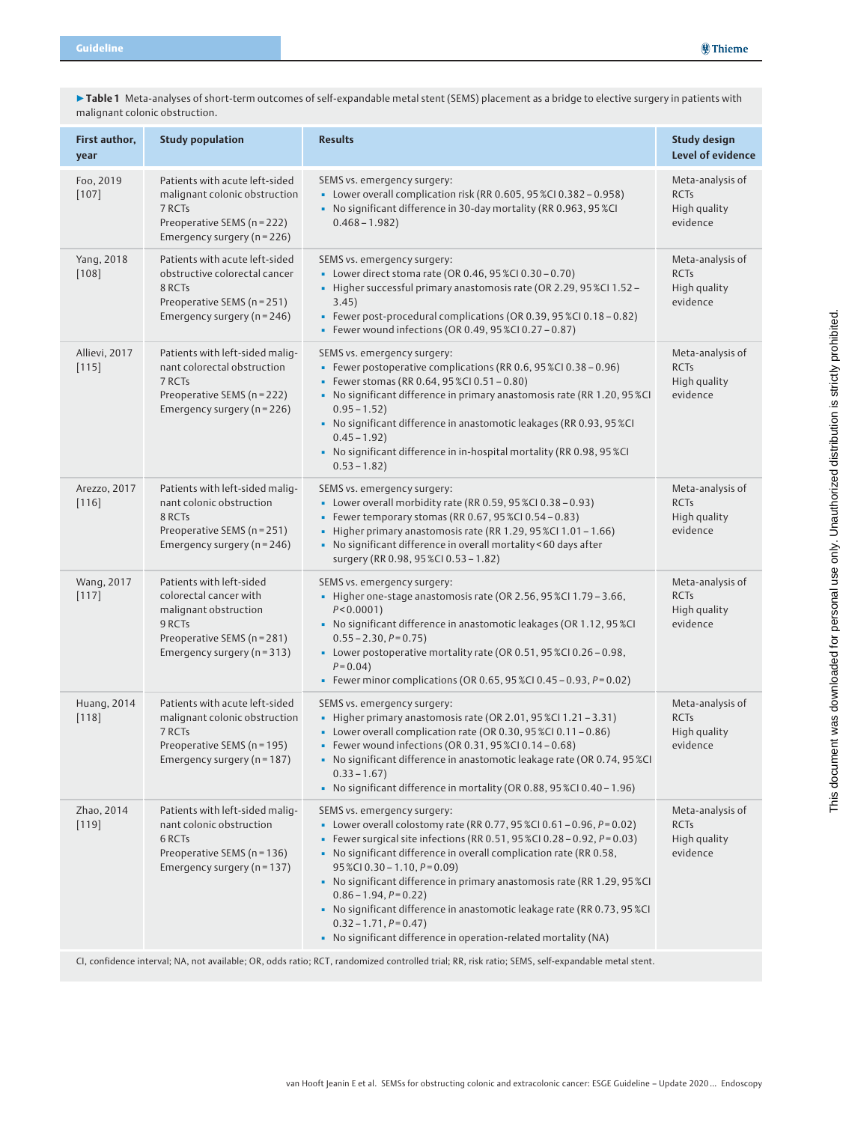| First author,<br>year          | <b>Study population</b>                                                                                                                             | <b>Results</b>                                                                                                                                                                                                                                                                                                                                                                                                                                                                                                                                                                        | <b>Study design</b><br><b>Level of evidence</b>             |  |  |
|--------------------------------|-----------------------------------------------------------------------------------------------------------------------------------------------------|---------------------------------------------------------------------------------------------------------------------------------------------------------------------------------------------------------------------------------------------------------------------------------------------------------------------------------------------------------------------------------------------------------------------------------------------------------------------------------------------------------------------------------------------------------------------------------------|-------------------------------------------------------------|--|--|
| Foo, 2019<br>$[107]$           | Patients with acute left-sided<br>malignant colonic obstruction<br>7 RCTs<br>Preoperative SEMS (n = 222)<br>Emergency surgery (n = 226)             | SEMS vs. emergency surgery:<br>• Lower overall complication risk (RR 0.605, 95 %CI 0.382 - 0.958)<br>• No significant difference in 30-day mortality (RR 0.963, 95 %CI<br>$0.468 - 1.982$                                                                                                                                                                                                                                                                                                                                                                                             | Meta-analysis of<br><b>RCTs</b><br>High quality<br>evidence |  |  |
| Yang, 2018<br>$[108]$          | Patients with acute left-sided<br>obstructive colorectal cancer<br>8 RCTs<br>Preoperative SEMS (n = 251)<br>Emergency surgery ( $n = 246$ )         | SEMS vs. emergency surgery:<br>• Lower direct stoma rate (OR 0.46, 95 %Cl 0.30 - 0.70)<br>- Higher successful primary anastomosis rate (OR 2.29, 95 %CI 1.52 -<br>3.45)<br>· Fewer post-procedural complications (OR 0.39, 95 %CI 0.18 - 0.82)<br><b>Fewer wound infections (OR 0.49, 95 %CI 0.27 - 0.87)</b>                                                                                                                                                                                                                                                                         | Meta-analysis of<br><b>RCTs</b><br>High quality<br>evidence |  |  |
| Allievi, 2017<br>$[115]$       | Patients with left-sided malig-<br>nant colorectal obstruction<br>7 RCTs<br>Preoperative SEMS (n = 222)<br>Emergency surgery (n = 226)              | SEMS vs. emergency surgery:<br>· Fewer postoperative complications (RR 0.6, 95 %CI 0.38 - 0.96)<br><b>Fewer stomas (RR 0.64, 95 %CI 0.51 - 0.80)</b><br>• No significant difference in primary anastomosis rate (RR 1.20, 95 %CI<br>$0.95 - 1.52$<br>• No significant difference in anastomotic leakages (RR 0.93, 95 %CI<br>$0.45 - 1.92$<br>• No significant difference in in-hospital mortality (RR 0.98, 95 %CI<br>$0.53 - 1.82$                                                                                                                                                  | Meta-analysis of<br><b>RCTs</b><br>High quality<br>evidence |  |  |
| Arezzo, 2017<br>$[116]$        | Patients with left-sided malig-<br>nant colonic obstruction<br>8 RCTs<br>Preoperative SEMS (n = 251)<br>Emergency surgery (n = 246)                 | SEMS vs. emergency surgery:<br>• Lower overall morbidity rate (RR 0.59, 95 %CI 0.38 - 0.93)<br><b>EXECUTE:</b> Fewer temporary stomas (RR 0.67, 95 %CI 0.54 - 0.83)<br>Higher primary anastomosis rate (RR 1.29, 95 %Cl 1.01 - 1.66)<br>• No significant difference in overall mortality <60 days after<br>surgery (RR 0.98, 95 %Cl 0.53 - 1.82)                                                                                                                                                                                                                                      | Meta-analysis of<br><b>RCTs</b><br>High quality<br>evidence |  |  |
| Wang, 2017<br>[117]            | Patients with left-sided<br>colorectal cancer with<br>malignant obstruction<br>9 RCTs<br>Preoperative SEMS (n = 281)<br>Emergency surgery (n = 313) | SEMS vs. emergency surgery:<br>- Higher one-stage anastomosis rate (OR 2.56, 95 %Cl 1.79 - 3.66,<br>$P < 0.0001$ )<br>• No significant difference in anastomotic leakages (OR 1.12, 95 %CI<br>$0.55 - 2.30, P = 0.75$<br>• Lower postoperative mortality rate (OR 0.51, 95 %CI 0.26 - 0.98,<br>$P = 0.04$ )<br><b>Fewer minor complications (OR 0.65, 95 %CI 0.45 - 0.93, <math>P = 0.02</math>)</b>                                                                                                                                                                                  | Meta-analysis of<br><b>RCTs</b><br>High quality<br>evidence |  |  |
| <b>Huang</b> , 2014<br>$[118]$ | Patients with acute left-sided<br>malignant colonic obstruction<br>7 RCTs<br>Preoperative SEMS (n = 195)<br>Emergency surgery (n = 187)             | SEMS vs. emergency surgery:<br>Higher primary anastomosis rate (OR 2.01, 95 %Cl 1.21 - 3.31)<br>• Lower overall complication rate (OR 0.30, 95 %CI 0.11 - 0.86)<br>· Fewer wound infections (OR 0.31, 95 %CI 0.14 - 0.68)<br>• No significant difference in anastomotic leakage rate (OR 0.74, 95 %CI<br>$0.33 - 1.67$<br>• No significant difference in mortality (OR 0.88, 95 %CI 0.40 – 1.96)                                                                                                                                                                                      | Meta-analysis of<br><b>RCTs</b><br>High quality<br>evidence |  |  |
| Zhao, 2014<br>$[119]$          | Patients with left-sided malig-<br>nant colonic obstruction<br>6 RCTs<br>Preoperative SEMS (n = 136)<br>Emergency surgery (n = 137)                 | SEMS vs. emergency surgery:<br>• Lower overall colostomy rate (RR 0.77, 95 %CI 0.61 - 0.96, $P = 0.02$ )<br>• Fewer surgical site infections (RR 0.51, 95 %CI 0.28 - 0.92, $P = 0.03$ )<br>• No significant difference in overall complication rate (RR 0.58,<br>$95\%$ CI 0.30 - 1.10, $P = 0.09$ )<br>• No significant difference in primary anastomosis rate (RR 1.29, 95 %CI<br>$0.86 - 1.94, P = 0.22$<br>• No significant difference in anastomotic leakage rate (RR 0.73, 95 %CI<br>$0.32 - 1.71, P = 0.47$<br>• No significant difference in operation-related mortality (NA) | Meta-analysis of<br><b>RCTs</b><br>High quality<br>evidence |  |  |
|                                | CI, confidence interval; NA, not available; OR, odds ratio; RCT, randomized controlled trial; RR, risk ratio; SEMS, self-expandable metal stent.    |                                                                                                                                                                                                                                                                                                                                                                                                                                                                                                                                                                                       |                                                             |  |  |

▶ Table 1 Meta-analyses of short-term outcomes of self-expandable metal stent (SEMS) placement as a bridge to elective surgery in patients with malignant colonic obstruction.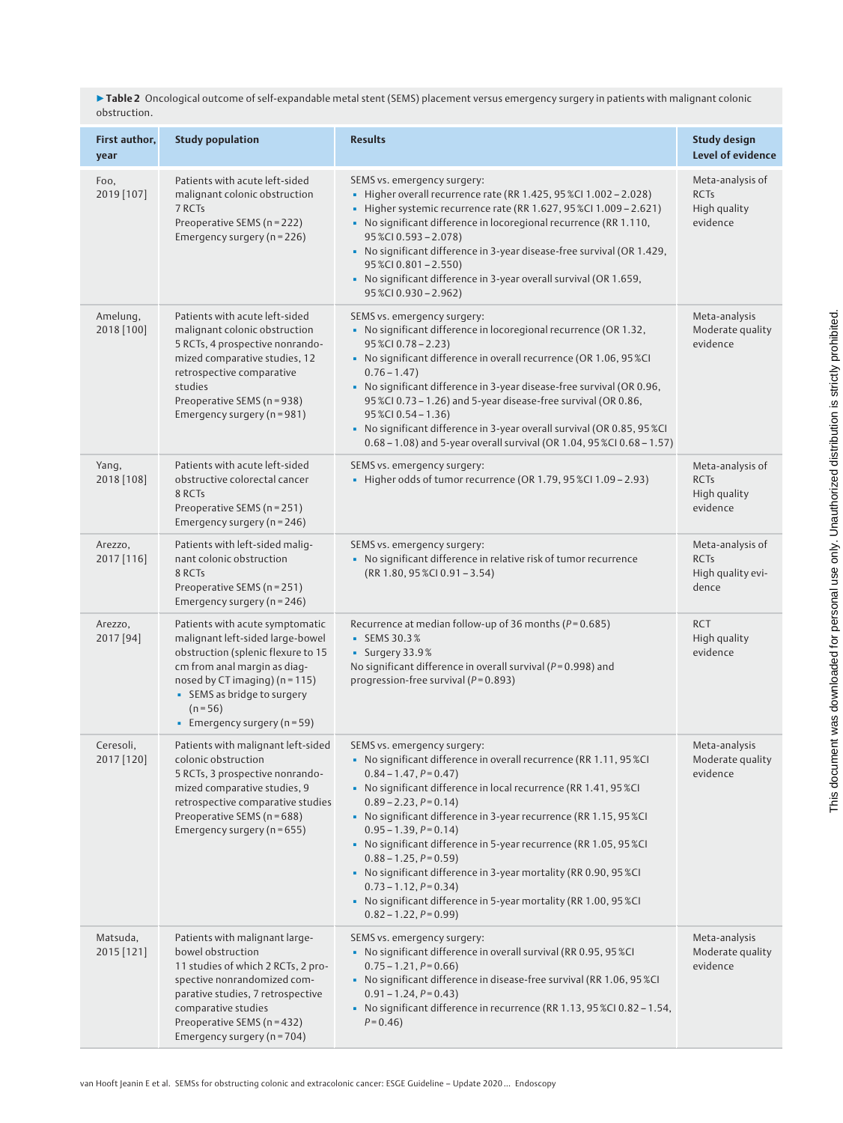▶ Table 2 Oncological outcome of self-expandable metal stent (SEMS) placement versus emergency surgery in patients with malignant colonic obstruction.

| First author,<br>year   | <b>Study population</b>                                                                                                                                                                                                                                        | <b>Results</b>                                                                                                                                                                                                                                                                                                                                                                                                                                                                                                                                                                                                                 | <b>Study design</b><br>Level of evidence                      |
|-------------------------|----------------------------------------------------------------------------------------------------------------------------------------------------------------------------------------------------------------------------------------------------------------|--------------------------------------------------------------------------------------------------------------------------------------------------------------------------------------------------------------------------------------------------------------------------------------------------------------------------------------------------------------------------------------------------------------------------------------------------------------------------------------------------------------------------------------------------------------------------------------------------------------------------------|---------------------------------------------------------------|
| Foo,<br>2019 [107]      | Patients with acute left-sided<br>malignant colonic obstruction<br>7 RCTs<br>Preoperative SEMS (n = 222)<br>Emergency surgery (n = 226)                                                                                                                        | SEMS vs. emergency surgery:<br>Higher overall recurrence rate (RR 1.425, 95 %Cl 1.002 - 2.028)<br>Higher systemic recurrence rate (RR 1.627, 95 %Cl 1.009 - 2.621)<br>- No significant difference in locoregional recurrence (RR 1.110,<br>$95\%$ CI 0.593 - 2.078)<br>• No significant difference in 3-year disease-free survival (OR 1.429,<br>$95\%$ CI 0.801 - 2.550)<br>• No significant difference in 3-year overall survival (OR 1.659,<br>95 %CI 0.930 - 2.962)                                                                                                                                                        | Meta-analysis of<br><b>RCTs</b><br>High quality<br>evidence   |
| Amelung,<br>2018 [100]  | Patients with acute left-sided<br>malignant colonic obstruction<br>5 RCTs, 4 prospective nonrando-<br>mized comparative studies, 12<br>retrospective comparative<br>studies<br>Preoperative SEMS (n = 938)<br>Emergency surgery (n = 981)                      | SEMS vs. emergency surgery:<br>• No significant difference in locoregional recurrence (OR 1.32,<br>$95\%$ CI 0.78 - 2.23)<br>• No significant difference in overall recurrence (OR 1.06, 95 %CI<br>$0.76 - 1.47$<br>• No significant difference in 3-year disease-free survival (OR 0.96,<br>95 %CI 0.73 - 1.26) and 5-year disease-free survival (OR 0.86,<br>$95\%$ CI 0.54 - 1.36)<br>• No significant difference in 3-year overall survival (OR 0.85, 95 %CI<br>0.68 - 1.08) and 5-year overall survival (OR 1.04, 95 %CI 0.68 - 1.57)                                                                                     | Meta-analysis<br>Moderate quality<br>evidence                 |
| Yang,<br>2018 [108]     | Patients with acute left-sided<br>obstructive colorectal cancer<br>8 RCTs<br>Preoperative SEMS (n = 251)<br>Emergency surgery ( $n = 246$ )                                                                                                                    | SEMS vs. emergency surgery:<br>· Higher odds of tumor recurrence (OR 1.79, 95 %CI 1.09 - 2.93)                                                                                                                                                                                                                                                                                                                                                                                                                                                                                                                                 | Meta-analysis of<br><b>RCTs</b><br>High quality<br>evidence   |
| Arezzo,<br>2017 [116]   | Patients with left-sided malig-<br>nant colonic obstruction<br>8 RCTs<br>Preoperative SEMS (n = 251)<br>Emergency surgery ( $n = 246$ )                                                                                                                        | SEMS vs. emergency surgery:<br>- No significant difference in relative risk of tumor recurrence<br>$(RR 1.80, 95 % CI 0.91 - 3.54)$                                                                                                                                                                                                                                                                                                                                                                                                                                                                                            | Meta-analysis of<br><b>RCTs</b><br>High quality evi-<br>dence |
| Arezzo,<br>$2017$ [94]  | Patients with acute symptomatic<br>malignant left-sided large-bowel<br>obstruction (splenic flexure to 15<br>cm from anal margin as diag-<br>nosed by CT imaging) ( $n = 115$ )<br>• SEMS as bridge to surgery<br>$(n = 56)$<br>Emergency surgery ( $n = 59$ ) | Recurrence at median follow-up of 36 months ( $P = 0.685$ )<br>$\blacksquare$ SEMS 30.3%<br>$\blacksquare$ Surgery 33.9%<br>No significant difference in overall survival ( $P = 0.998$ ) and<br>progression-free survival ( $P = 0.893$ )                                                                                                                                                                                                                                                                                                                                                                                     | <b>RCT</b><br>High quality<br>evidence                        |
| Ceresoli,<br>2017 [120] | Patients with malignant left-sided<br>colonic obstruction<br>5 RCTs, 3 prospective nonrando-<br>mized comparative studies, 9<br>retrospective comparative studies<br>Preoperative SEMS (n = 688)<br>Emergency surgery (n = 655)                                | SEMS vs. emergency surgery:<br>• No significant difference in overall recurrence (RR 1.11, 95 %CI<br>$0.84 - 1.47, P = 0.47$<br>- No significant difference in local recurrence (RR 1.41, 95 %CI<br>$0.89 - 2.23$ , $P = 0.14$ )<br>• No significant difference in 3-year recurrence (RR 1.15, 95 %CI<br>$0.95 - 1.39, P = 0.14$<br>• No significant difference in 5-year recurrence (RR 1.05, 95 %CI<br>$0.88 - 1.25, P = 0.59$<br>• No significant difference in 3-year mortality (RR 0.90, 95 %CI<br>$0.73 - 1.12, P = 0.34$<br>• No significant difference in 5-year mortality (RR 1.00, 95 %CI<br>$0.82 - 1.22, P = 0.99$ | Meta-analysis<br>Moderate quality<br>evidence                 |
| Matsuda,<br>2015 [121]  | Patients with malignant large-<br>bowel obstruction<br>11 studies of which 2 RCTs, 2 pro-<br>spective nonrandomized com-<br>parative studies, 7 retrospective<br>comparative studies<br>Preoperative SEMS (n = 432)<br>Emergency surgery (n = 704)             | SEMS vs. emergency surgery:<br>• No significant difference in overall survival (RR 0.95, 95 %CI<br>$0.75 - 1.21, P = 0.66$<br>• No significant difference in disease-free survival (RR 1.06, 95 %CI<br>$0.91 - 1.24, P = 0.43$<br>• No significant difference in recurrence (RR 1.13, 95 %CI 0.82 - 1.54,<br>$P = 0.46$                                                                                                                                                                                                                                                                                                        | Meta-analysis<br>Moderate quality<br>evidence                 |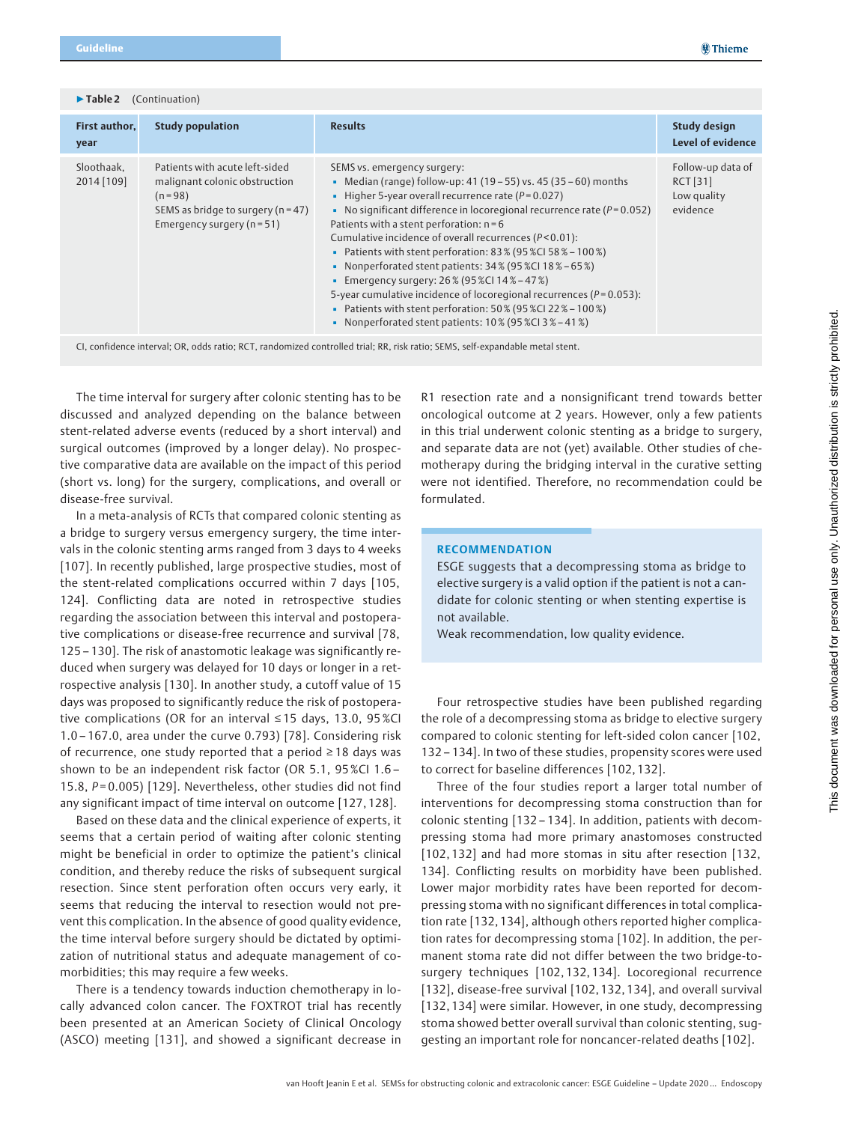▶ Table 2 (Continuation)

| First author,<br>year    | <b>Study population</b>                                                                                                                                   | <b>Results</b>                                                                                                                                                                                                                                                                                                                                                                                                                                                                                                                                                                                                                                                                                                               | <b>Study design</b><br>Level of evidence                 |
|--------------------------|-----------------------------------------------------------------------------------------------------------------------------------------------------------|------------------------------------------------------------------------------------------------------------------------------------------------------------------------------------------------------------------------------------------------------------------------------------------------------------------------------------------------------------------------------------------------------------------------------------------------------------------------------------------------------------------------------------------------------------------------------------------------------------------------------------------------------------------------------------------------------------------------------|----------------------------------------------------------|
| Sloothaak.<br>2014 [109] | Patients with acute left-sided<br>malignant colonic obstruction<br>$(n = 98)$<br>SEMS as bridge to surgery ( $n = 47$ )<br>Emergency surgery ( $n = 51$ ) | SEMS vs. emergency surgery:<br>• Median (range) follow-up: 41 (19 – 55) vs. 45 (35 – 60) months<br>- Higher 5-year overall recurrence rate ( $P = 0.027$ )<br>No significant difference in locoregional recurrence rate $(P=0.052)$<br>Patients with a stent perforation: $n = 6$<br>Cumulative incidence of overall recurrences (P<0.01):<br>• Patients with stent perforation: $83\%$ (95 %CI 58 % – 100 %)<br>• Nonperforated stent patients: 34% (95%CI 18% – 65%)<br><b>Emergency surgery: 26% (95%CI 14% – 47%)</b><br>5-year cumulative incidence of locoregional recurrences ( $P = 0.053$ ):<br><b>Patients with stent perforation: 50% (95%CI 22% – 100%)</b><br>• Nonperforated stent patients: 10% (95%CI3%-41%) | Follow-up data of<br>RCT [31]<br>Low quality<br>evidence |

CI, confidence interval; OR, odds ratio; RCT, randomized controlled trial; RR, risk ratio; SEMS, self-expandable metal stent.

The time interval for surgery after colonic stenting has to be discussed and analyzed depending on the balance between stent-related adverse events (reduced by a short interval) and surgical outcomes (improved by a longer delay). No prospective comparative data are available on the impact of this period (short vs. long) for the surgery, complications, and overall or disease-free survival.

In a meta-analysis of RCTs that compared colonic stenting as a bridge to surgery versus emergency surgery, the time intervals in the colonic stenting arms ranged from 3 days to 4 weeks [107]. In recently published, large prospective studies, most of the stent-related complications occurred within 7 days [105, 124]. Conflicting data are noted in retrospective studies regarding the association between this interval and postoperative complications or disease-free recurrence and survival [78, 125 – 130]. The risk of anastomotic leakage was significantly reduced when surgery was delayed for 10 days or longer in a retrospective analysis [130]. In another study, a cutoff value of 15 days was proposed to significantly reduce the risk of postoperative complications (OR for an interval ≤ 15 days, 13.0, 95 %CI 1.0 – 167.0, area under the curve 0.793) [78]. Considering risk of recurrence, one study reported that a period ≥ 18 days was shown to be an independent risk factor (OR 5.1, 95 %CI 1.6 – 15.8,  $P = 0.005$ ) [129]. Nevertheless, other studies did not find any significant impact of time interval on outcome [127, 128].

Based on these data and the clinical experience of experts, it seems that a certain period of waiting after colonic stenting might be beneficial in order to optimize the patient's clinical condition, and thereby reduce the risks of subsequent surgical resection. Since stent perforation often occurs very early, it seems that reducing the interval to resection would not prevent this complication. In the absence of good quality evidence, the time interval before surgery should be dictated by optimization of nutritional status and adequate management of comorbidities; this may require a few weeks.

There is a tendency towards induction chemotherapy in locally advanced colon cancer. The FOXTROT trial has recently been presented at an American Society of Clinical Oncology (ASCO) meeting [131], and showed a significant decrease in

R1 resection rate and a nonsignificant trend towards better oncological outcome at 2 years. However, only a few patients in this trial underwent colonic stenting as a bridge to surgery, and separate data are not (yet) available. Other studies of chemotherapy during the bridging interval in the curative setting were not identified. Therefore, no recommendation could be formulated.

### **RECOMMENDATION**

ESGE suggests that a decompressing stoma as bridge to elective surgery is a valid option if the patient is not a candidate for colonic stenting or when stenting expertise is not available.

Weak recommendation, low quality evidence.

Four retrospective studies have been published regarding the role of a decompressing stoma as bridge to elective surgery compared to colonic stenting for left-sided colon cancer [102, 132 – 134]. In two of these studies, propensity scores were used to correct for baseline differences [102, 132].

Three of the four studies report a larger total number of interventions for decompressing stoma construction than for colonic stenting [132 – 134]. In addition, patients with decompressing stoma had more primary anastomoses constructed [102, 132] and had more stomas in situ after resection [132, 134]. Conflicting results on morbidity have been published. Lower major morbidity rates have been reported for decompressing stoma with no significant differences in total complication rate [132, 134], although others reported higher complication rates for decompressing stoma [102]. In addition, the permanent stoma rate did not differ between the two bridge-tosurgery techniques [102, 132, 134]. Locoregional recurrence [132], disease-free survival [102, 132, 134], and overall survival [132, 134] were similar. However, in one study, decompressing stoma showed better overall survival than colonic stenting, suggesting an important role for noncancer-related deaths [102].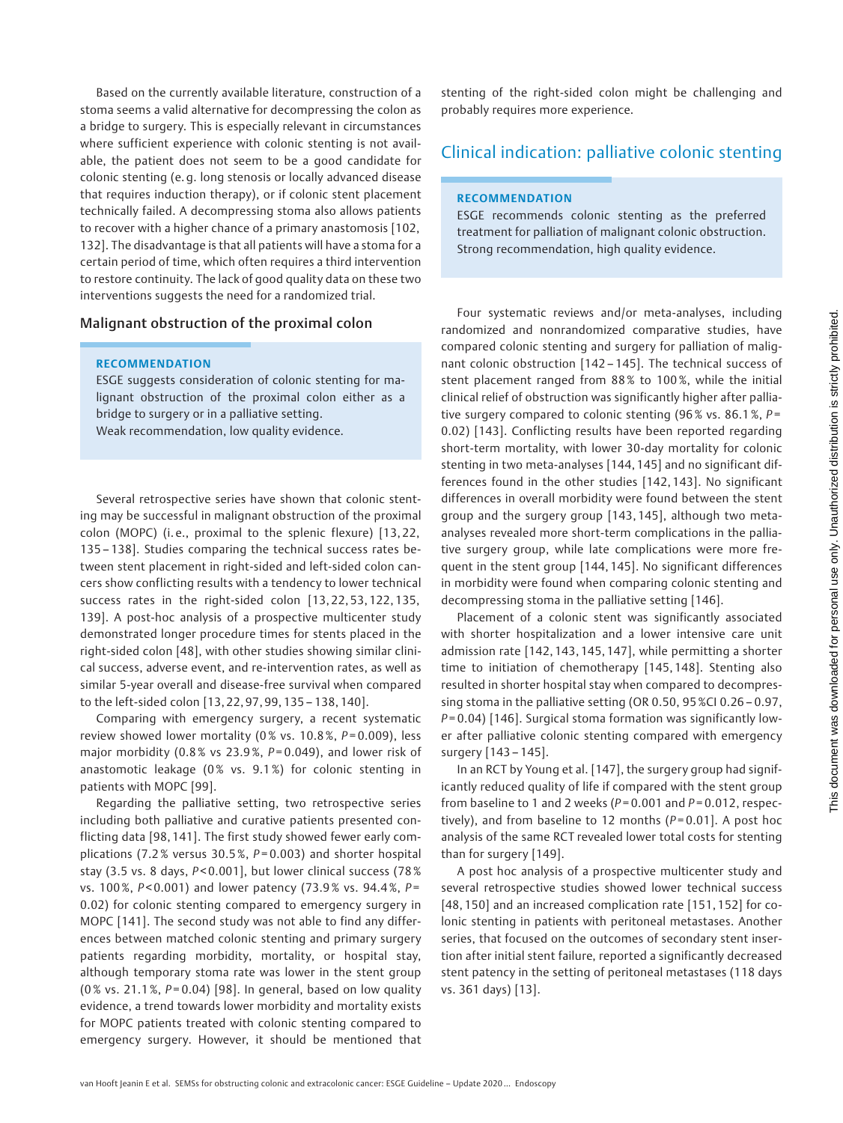Based on the currently available literature, construction of a stoma seems a valid alternative for decompressing the colon as a bridge to surgery. This is especially relevant in circumstances where sufficient experience with colonic stenting is not available, the patient does not seem to be a good candidate for colonic stenting (e. g. long stenosis or locally advanced disease that requires induction therapy), or if colonic stent placement technically failed. A decompressing stoma also allows patients to recover with a higher chance of a primary anastomosis [102, 132]. The disadvantage is that all patients will have a stoma for a certain period of time, which often requires a third intervention to restore continuity. The lack of good quality data on these two interventions suggests the need for a randomized trial.

### Malignant obstruction of the proximal colon

### RECOMMENDATION

ESGE suggests consideration of colonic stenting for malignant obstruction of the proximal colon either as a bridge to surgery or in a palliative setting. Weak recommendation, low quality evidence.

Several retrospective series have shown that colonic stenting may be successful in malignant obstruction of the proximal colon (MOPC) (i. e., proximal to the splenic flexure) [13, 22, 135 – 138]. Studies comparing the technical success rates between stent placement in right-sided and left-sided colon cancers show conflicting results with a tendency to lower technical success rates in the right-sided colon [13, 22, 53, 122, 135, 139]. A post-hoc analysis of a prospective multicenter study demonstrated longer procedure times for stents placed in the right-sided colon [48], with other studies showing similar clinical success, adverse event, and re-intervention rates, as well as similar 5-year overall and disease-free survival when compared to the left-sided colon [13, 22, 97, 99, 135 – 138, 140].

Comparing with emergency surgery, a recent systematic review showed lower mortality ( $0\%$  vs. 10.8%,  $P=0.009$ ), less major morbidity (0.8% vs 23.9%,  $P = 0.049$ ), and lower risk of anastomotic leakage (0% vs. 9.1%) for colonic stenting in patients with MOPC [99].

Regarding the palliative setting, two retrospective series including both palliative and curative patients presented conflicting data [98, 141]. The first study showed fewer early complications (7.2% versus 30.5%,  $P = 0.003$ ) and shorter hospital stay (3.5 vs. 8 days, P<0.001], but lower clinical success (78%) vs. 100%, P<0.001) and lower patency (73.9% vs. 94.4%, P= 0.02) for colonic stenting compared to emergency surgery in MOPC [141]. The second study was not able to find any differences between matched colonic stenting and primary surgery patients regarding morbidity, mortality, or hospital stay, although temporary stoma rate was lower in the stent group (0% vs. 21.1%,  $P = 0.04$ ) [98]. In general, based on low quality evidence, a trend towards lower morbidity and mortality exists for MOPC patients treated with colonic stenting compared to emergency surgery. However, it should be mentioned that

stenting of the right-sided colon might be challenging and probably requires more experience.

# Clinical indication: palliative colonic stenting

### RECOMMENDATION

ESGE recommends colonic stenting as the preferred treatment for palliation of malignant colonic obstruction. Strong recommendation, high quality evidence.

Four systematic reviews and/or meta-analyses, including randomized and nonrandomized comparative studies, have compared colonic stenting and surgery for palliation of malignant colonic obstruction [142 – 145]. The technical success of stent placement ranged from 88 % to 100 %, while the initial clinical relief of obstruction was significantly higher after palliative surgery compared to colonic stenting (96% vs. 86.1%,  $P =$ 0.02) [143]. Conflicting results have been reported regarding short-term mortality, with lower 30-day mortality for colonic stenting in two meta-analyses [144, 145] and no significant differences found in the other studies [142, 143]. No significant differences in overall morbidity were found between the stent group and the surgery group [143, 145], although two metaanalyses revealed more short-term complications in the palliative surgery group, while late complications were more frequent in the stent group [144, 145]. No significant differences in morbidity were found when comparing colonic stenting and decompressing stoma in the palliative setting [146].

Placement of a colonic stent was significantly associated with shorter hospitalization and a lower intensive care unit admission rate [142, 143, 145, 147], while permitting a shorter time to initiation of chemotherapy [145, 148]. Stenting also resulted in shorter hospital stay when compared to decompressing stoma in the palliative setting (OR 0.50, 95 %CI 0.26 – 0.97,  $P = 0.04$ ) [146]. Surgical stoma formation was significantly lower after palliative colonic stenting compared with emergency surgery [143 – 145].

In an RCT by Young et al. [147], the surgery group had significantly reduced quality of life if compared with the stent group from baseline to 1 and 2 weeks ( $P = 0.001$  and  $P = 0.012$ , respectively), and from baseline to 12 months ( $P = 0.01$ ]. A post hoc analysis of the same RCT revealed lower total costs for stenting than for surgery [149].

A post hoc analysis of a prospective multicenter study and several retrospective studies showed lower technical success [48, 150] and an increased complication rate [151, 152] for colonic stenting in patients with peritoneal metastases. Another series, that focused on the outcomes of secondary stent insertion after initial stent failure, reported a significantly decreased stent patency in the setting of peritoneal metastases (118 days vs. 361 days) [13].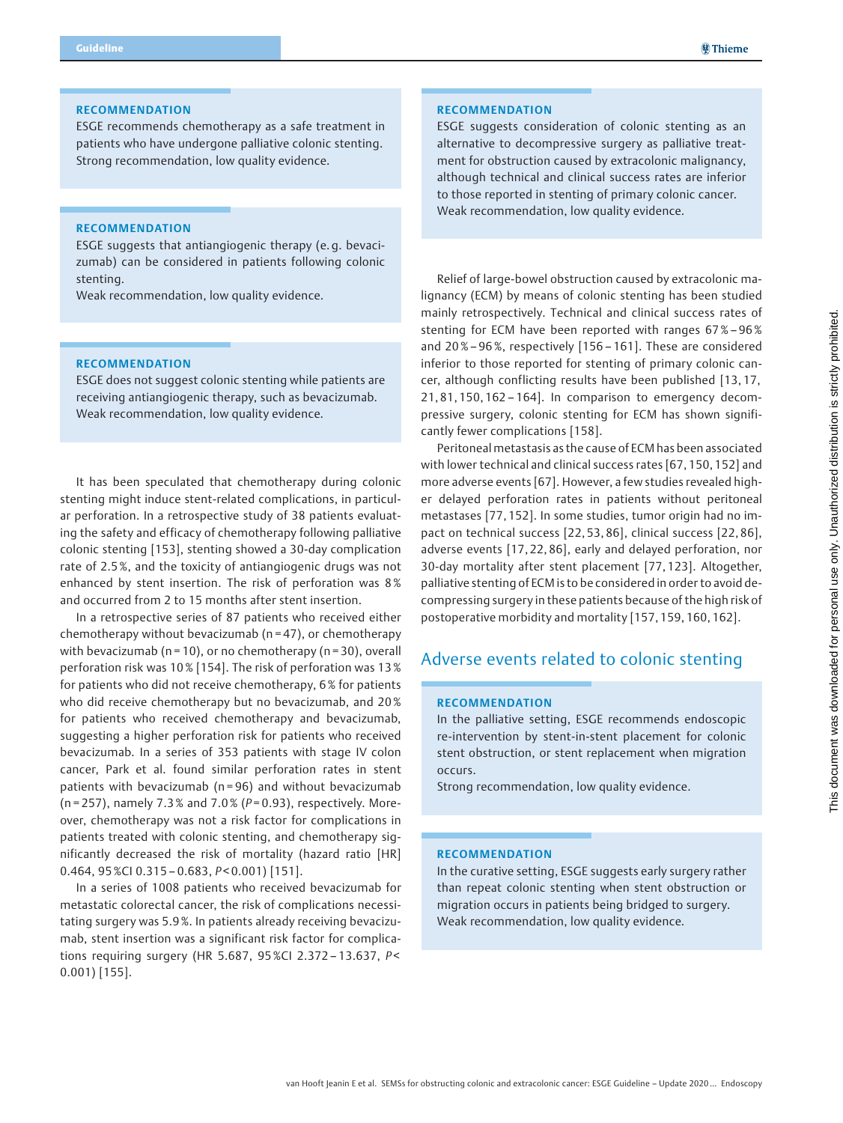### RECOMMENDATION

ESGE recommends chemotherapy as a safe treatment in patients who have undergone palliative colonic stenting. Strong recommendation, low quality evidence.

### RECOMMENDATION

ESGE suggests that antiangiogenic therapy (e. g. bevacizumab) can be considered in patients following colonic stenting.

Weak recommendation, low quality evidence.

## RECOMMENDATION

ESGE does not suggest colonic stenting while patients are receiving antiangiogenic therapy, such as bevacizumab. Weak recommendation, low quality evidence.

It has been speculated that chemotherapy during colonic stenting might induce stent-related complications, in particular perforation. In a retrospective study of 38 patients evaluating the safety and efficacy of chemotherapy following palliative colonic stenting [153], stenting showed a 30-day complication rate of 2.5 %, and the toxicity of antiangiogenic drugs was not enhanced by stent insertion. The risk of perforation was 8 % and occurred from 2 to 15 months after stent insertion.

In a retrospective series of 87 patients who received either chemotherapy without bevacizumab ( $n = 47$ ), or chemotherapy with bevacizumab ( $n = 10$ ), or no chemotherapy ( $n = 30$ ), overall perforation risk was 10 % [154]. The risk of perforation was 13 % for patients who did not receive chemotherapy, 6 % for patients who did receive chemotherapy but no bevacizumab, and 20% for patients who received chemotherapy and bevacizumab, suggesting a higher perforation risk for patients who received bevacizumab. In a series of 353 patients with stage IV colon cancer, Park et al. found similar perforation rates in stent patients with bevacizumab (n = 96) and without bevacizumab (n = 257), namely 7.3% and 7.0% ( $P = 0.93$ ), respectively. Moreover, chemotherapy was not a risk factor for complications in patients treated with colonic stenting, and chemotherapy significantly decreased the risk of mortality (hazard ratio [HR]  $0.464$ ,  $95$  %CI  $0.315 - 0.683$ ,  $P < 0.001$ ) [151].

In a series of 1008 patients who received bevacizumab for metastatic colorectal cancer, the risk of complications necessitating surgery was 5.9 %. In patients already receiving bevacizumab, stent insertion was a significant risk factor for complications requiring surgery (HR 5.687, 95%Cl 2.372-13.637, P< 0.001) [155].

# RECOMMENDATION

ESGE suggests consideration of colonic stenting as an alternative to decompressive surgery as palliative treatment for obstruction caused by extracolonic malignancy, although technical and clinical success rates are inferior to those reported in stenting of primary colonic cancer. Weak recommendation, low quality evidence.

Relief of large-bowel obstruction caused by extracolonic malignancy (ECM) by means of colonic stenting has been studied mainly retrospectively. Technical and clinical success rates of stenting for ECM have been reported with ranges 67 %– 96% and 20%– 96 %, respectively [156 – 161]. These are considered inferior to those reported for stenting of primary colonic cancer, although conflicting results have been published [13, 17, 21, 81, 150, 162 – 164]. In comparison to emergency decompressive surgery, colonic stenting for ECM has shown significantly fewer complications [158].

Peritoneal metastasis as the cause of ECM has been associated with lower technical and clinical success rates [67, 150, 152] and more adverse events [67]. However, a few studies revealed higher delayed perforation rates in patients without peritoneal metastases [77, 152]. In some studies, tumor origin had no impact on technical success [22, 53, 86], clinical success [22, 86], adverse events [17, 22, 86], early and delayed perforation, nor 30-day mortality after stent placement [77, 123]. Altogether, palliative stenting of ECM is to be considered in order to avoid decompressing surgery in these patients because of the high risk of postoperative morbidity and mortality [157, 159, 160, 162].

# Adverse events related to colonic stenting

## **RECOMMENDATION**

In the palliative setting, ESGE recommends endoscopic re-intervention by stent-in-stent placement for colonic stent obstruction, or stent replacement when migration occurs.

Strong recommendation, low quality evidence.

## RECOMMENDATION

In the curative setting, ESGE suggests early surgery rather than repeat colonic stenting when stent obstruction or migration occurs in patients being bridged to surgery. Weak recommendation, low quality evidence.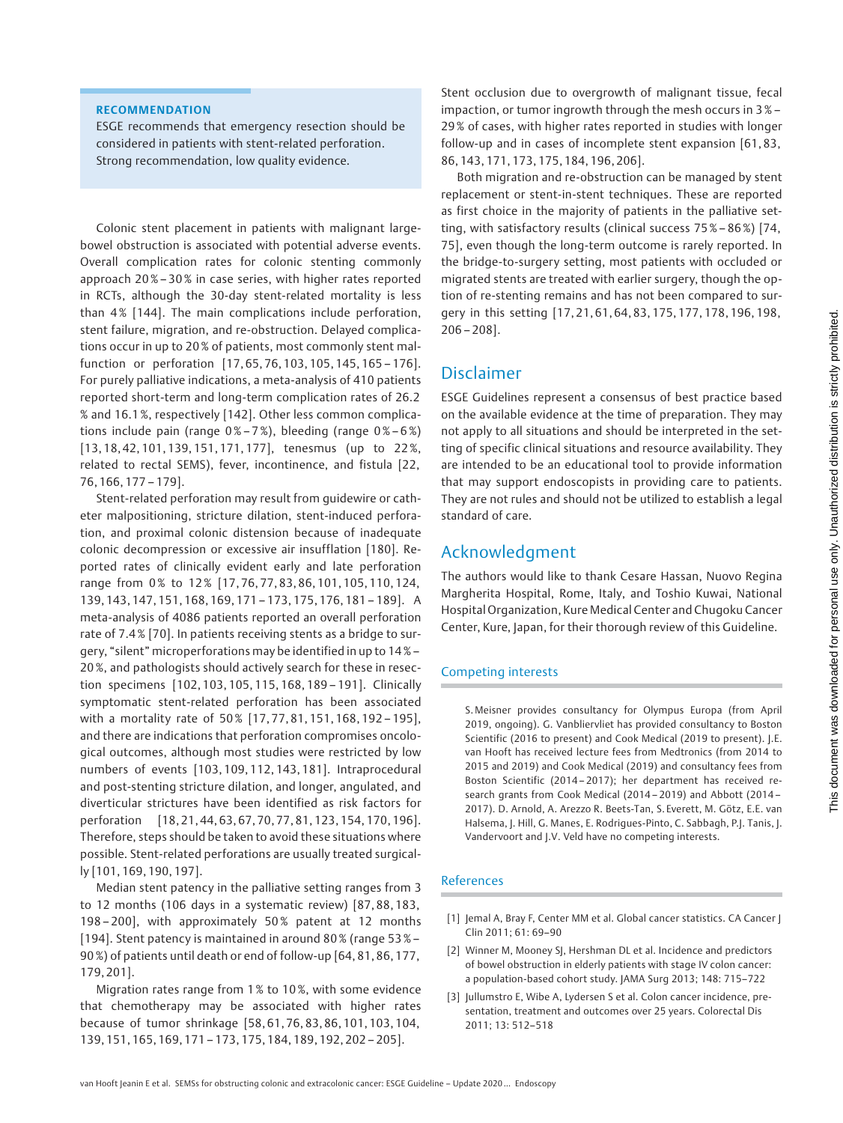# RECOMMENDATION

ESGE recommends that emergency resection should be considered in patients with stent-related perforation. Strong recommendation, low quality evidence.

Colonic stent placement in patients with malignant largebowel obstruction is associated with potential adverse events. Overall complication rates for colonic stenting commonly approach 20 %– 30 % in case series, with higher rates reported in RCTs, although the 30-day stent-related mortality is less than 4% [144]. The main complications include perforation, stent failure, migration, and re-obstruction. Delayed complications occur in up to 20 % of patients, most commonly stent malfunction or perforation [17, 65, 76, 103, 105, 145, 165 – 176]. For purely palliative indications, a meta-analysis of 410 patients reported short-term and long-term complication rates of 26.2 % and 16.1 %, respectively [142]. Other less common complications include pain (range  $0\% - 7\%$ ), bleeding (range  $0\% - 6\%$ ) [13, 18, 42, 101, 139, 151, 171, 177], tenesmus (up to 22 %, related to rectal SEMS), fever, incontinence, and fistula [22, 76, 166, 177 – 179].

Stent-related perforation may result from guidewire or catheter malpositioning, stricture dilation, stent-induced perforation, and proximal colonic distension because of inadequate colonic decompression or excessive air insufflation [180]. Reported rates of clinically evident early and late perforation range from 0% to 12% [17, 76, 77, 83, 86, 101, 105, 110, 124, 139, 143, 147, 151, 168, 169, 171 – 173, 175, 176, 181 – 189]. A meta-analysis of 4086 patients reported an overall perforation rate of 7.4 % [70]. In patients receiving stents as a bridge to surgery, "silent" microperforations may be identified in up to 14 %– 20 %, and pathologists should actively search for these in resection specimens [102, 103, 105, 115, 168, 189 – 191]. Clinically symptomatic stent-related perforation has been associated with a mortality rate of 50% [17, 77, 81, 151, 168, 192 - 195], and there are indications that perforation compromises oncological outcomes, although most studies were restricted by low numbers of events [103, 109, 112, 143, 181]. Intraprocedural and post-stenting stricture dilation, and longer, angulated, and diverticular strictures have been identified as risk factors for perforation [18, 21, 44, 63, 67, 70, 77, 81, 123, 154, 170, 196]. Therefore, steps should be taken to avoid these situations where possible. Stent-related perforations are usually treated surgically [101, 169, 190, 197].

Median stent patency in the palliative setting ranges from 3 to 12 months (106 days in a systematic review) [87, 88, 183, 198 – 200], with approximately 50 % patent at 12 months [194]. Stent patency is maintained in around 80 % (range 53%– 90 %) of patients until death or end of follow-up [64, 81, 86, 177, 179, 201].

Migration rates range from 1 % to 10 %, with some evidence that chemotherapy may be associated with higher rates because of tumor shrinkage [58, 61, 76, 83, 86, 101, 103, 104, 139, 151, 165, 169, 171 – 173, 175, 184, 189, 192, 202 – 205].

Stent occlusion due to overgrowth of malignant tissue, fecal impaction, or tumor ingrowth through the mesh occurs in 3 % – 29 % of cases, with higher rates reported in studies with longer follow-up and in cases of incomplete stent expansion [61, 83, 86, 143, 171, 173, 175, 184, 196, 206].

Both migration and re-obstruction can be managed by stent replacement or stent-in-stent techniques. These are reported as first choice in the majority of patients in the palliative setting, with satisfactory results (clinical success 75 %– 86%) [74, 75], even though the long-term outcome is rarely reported. In the bridge-to-surgery setting, most patients with occluded or migrated stents are treated with earlier surgery, though the option of re-stenting remains and has not been compared to surgery in this setting [17, 21, 61, 64, 83, 175, 177, 178, 196, 198,  $206 - 208$ ].

# Disclaimer

ESGE Guidelines represent a consensus of best practice based on the available evidence at the time of preparation. They may not apply to all situations and should be interpreted in the setting of specific clinical situations and resource availability. They are intended to be an educational tool to provide information that may support endoscopists in providing care to patients. They are not rules and should not be utilized to establish a legal standard of care.

# Acknowledgment

The authors would like to thank Cesare Hassan, Nuovo Regina Margherita Hospital, Rome, Italy, and Toshio Kuwai, National Hospital Organization, Kure Medical Center and Chugoku Cancer Center, Kure, Japan, for their thorough review of this Guideline.

# Competing interests

S. Meisner provides consultancy for Olympus Europa (from April 2019, ongoing). G. Vanbliervliet has provided consultancy to Boston Scientific (2016 to present) and Cook Medical (2019 to present). J.E. van Hooft has received lecture fees from Medtronics (from 2014 to 2015 and 2019) and Cook Medical (2019) and consultancy fees from Boston Scientific (2014 – 2017); her department has received research grants from Cook Medical (2014 – 2019) and Abbott (2014 – 2017). D. Arnold, A. Arezzo R. Beets-Tan, S. Everett, M. Götz, E.E. van Halsema, J. Hill, G. Manes, E. Rodrigues-Pinto, C. Sabbagh, P.J. Tanis, J. Vandervoort and J.V. Veld have no competing interests.

# References

- [1] Jemal A, Bray F, Center MM et al. Global cancer statistics. CA Cancer J Clin 2011; 61: 69–90
- [2] Winner M, Mooney SJ, Hershman DL et al. Incidence and predictors of bowel obstruction in elderly patients with stage IV colon cancer: a population-based cohort study. JAMA Surg 2013; 148: 715–722
- [3] Jullumstro E, Wibe A, Lydersen S et al. Colon cancer incidence, presentation, treatment and outcomes over 25 years. Colorectal Dis 2011; 13: 512–518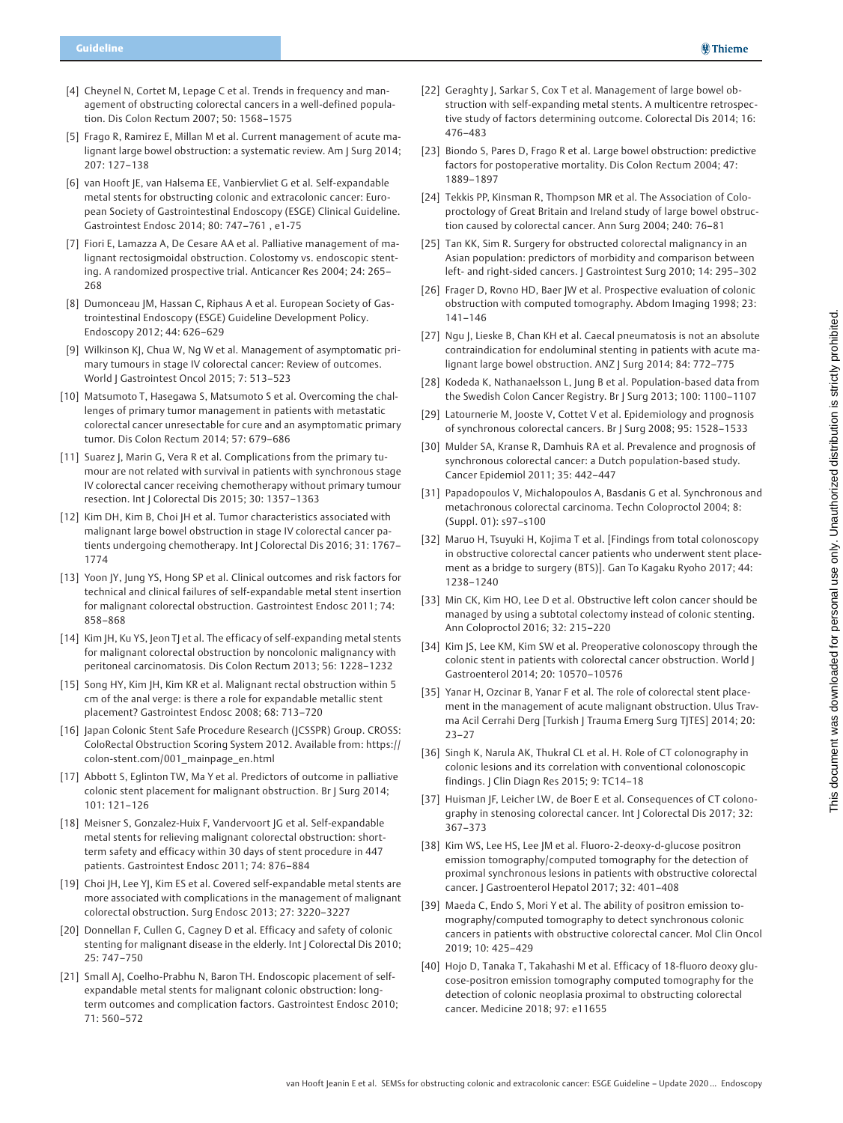- [4] Cheynel N, Cortet M, Lepage C et al. Trends in frequency and management of obstructing colorectal cancers in a well-defined population. Dis Colon Rectum 2007; 50: 1568–1575
- [5] Frago R, Ramirez E, Millan M et al. Current management of acute malignant large bowel obstruction: a systematic review. Am J Surg 2014; 207: 127–138
- [6] van Hooft JE, van Halsema EE, Vanbiervliet G et al. Self-expandable metal stents for obstructing colonic and extracolonic cancer: European Society of Gastrointestinal Endoscopy (ESGE) Clinical Guideline. Gastrointest Endosc 2014; 80: 747–761 , e1-75
- [7] Fiori E, Lamazza A, De Cesare AA et al. Palliative management of malignant rectosigmoidal obstruction. Colostomy vs. endoscopic stenting. A randomized prospective trial. Anticancer Res 2004; 24: 265– 268
- [8] Dumonceau JM, Hassan C, Riphaus A et al. European Society of Gastrointestinal Endoscopy (ESGE) Guideline Development Policy. Endoscopy 2012; 44: 626–629
- [9] Wilkinson KJ, Chua W, Ng W et al. Management of asymptomatic primary tumours in stage IV colorectal cancer: Review of outcomes. World J Gastrointest Oncol 2015; 7: 513–523
- [10] Matsumoto T, Hasegawa S, Matsumoto S et al. Overcoming the challenges of primary tumor management in patients with metastatic colorectal cancer unresectable for cure and an asymptomatic primary tumor. Dis Colon Rectum 2014; 57: 679–686
- [11] Suarez J, Marin G, Vera R et al. Complications from the primary tumour are not related with survival in patients with synchronous stage IV colorectal cancer receiving chemotherapy without primary tumour resection. Int J Colorectal Dis 2015; 30: 1357–1363
- [12] Kim DH, Kim B, Choi |H et al. Tumor characteristics associated with malignant large bowel obstruction in stage IV colorectal cancer patients undergoing chemotherapy. Int J Colorectal Dis 2016; 31: 1767– 1774
- [13] Yoon JY, Jung YS, Hong SP et al. Clinical outcomes and risk factors for technical and clinical failures of self-expandable metal stent insertion for malignant colorectal obstruction. Gastrointest Endosc 2011; 74: 858–868
- [14] Kim JH, Ku YS, Jeon TJ et al. The efficacy of self-expanding metal stents for malignant colorectal obstruction by noncolonic malignancy with peritoneal carcinomatosis. Dis Colon Rectum 2013; 56: 1228–1232
- [15] Song HY, Kim JH, Kim KR et al. Malignant rectal obstruction within 5 cm of the anal verge: is there a role for expandable metallic stent placement? Gastrointest Endosc 2008; 68: 713–720
- [16] Japan Colonic Stent Safe Procedure Research (JCSSPR) Group. CROSS: ColoRectal Obstruction Scoring System 2012. Available from: https:// colon-stent.com/001\_mainpage\_en.html
- [17] Abbott S, Eglinton TW, Ma Y et al. Predictors of outcome in palliative colonic stent placement for malignant obstruction. Br J Surg 2014; 101: 121–126
- [18] Meisner S, Gonzalez-Huix F, Vandervoort JG et al. Self-expandable metal stents for relieving malignant colorectal obstruction: shortterm safety and efficacy within 30 days of stent procedure in 447 patients. Gastrointest Endosc 2011; 74: 876–884
- [19] Choi |H, Lee Y|, Kim ES et al. Covered self-expandable metal stents are more associated with complications in the management of malignant colorectal obstruction. Surg Endosc 2013; 27: 3220–3227
- [20] Donnellan F, Cullen G, Cagney D et al. Efficacy and safety of colonic stenting for malignant disease in the elderly. Int J Colorectal Dis 2010; 25: 747–750
- [21] Small AJ, Coelho-Prabhu N, Baron TH. Endoscopic placement of selfexpandable metal stents for malignant colonic obstruction: longterm outcomes and complication factors. Gastrointest Endosc 2010; 71: 560–572
- [22] Geraghty J, Sarkar S, Cox T et al. Management of large bowel obstruction with self-expanding metal stents. A multicentre retrospective study of factors determining outcome. Colorectal Dis 2014; 16: 476–483
- [23] Biondo S, Pares D, Frago R et al. Large bowel obstruction: predictive factors for postoperative mortality. Dis Colon Rectum 2004; 47: 1889–1897
- [24] Tekkis PP, Kinsman R, Thompson MR et al. The Association of Coloproctology of Great Britain and Ireland study of large bowel obstruction caused by colorectal cancer. Ann Surg 2004; 240: 76–81
- [25] Tan KK, Sim R. Surgery for obstructed colorectal malignancy in an Asian population: predictors of morbidity and comparison between left- and right-sided cancers. J Gastrointest Surg 2010; 14: 295–302
- [26] Frager D, Rovno HD, Baer JW et al. Prospective evaluation of colonic obstruction with computed tomography. Abdom Imaging 1998; 23: 141–146
- [27] Ngu J, Lieske B, Chan KH et al. Caecal pneumatosis is not an absolute contraindication for endoluminal stenting in patients with acute malignant large bowel obstruction. ANZ J Surg 2014; 84: 772-775
- [28] Kodeda K, Nathanaelsson L, Jung B et al. Population-based data from the Swedish Colon Cancer Registry. Br J Surg 2013; 100: 1100–1107
- [29] Latournerie M, Jooste V, Cottet V et al. Epidemiology and prognosis of synchronous colorectal cancers. Br J Surg 2008; 95: 1528–1533
- [30] Mulder SA, Kranse R, Damhuis RA et al. Prevalence and prognosis of synchronous colorectal cancer: a Dutch population-based study. Cancer Epidemiol 2011; 35: 442–447
- [31] Papadopoulos V, Michalopoulos A, Basdanis G et al. Synchronous and metachronous colorectal carcinoma. Techn Coloproctol 2004; 8: (Suppl. 01): s97–s100
- [32] Maruo H, Tsuyuki H, Kojima T et al. [Findings from total colonoscopy in obstructive colorectal cancer patients who underwent stent placement as a bridge to surgery (BTS)]. Gan To Kagaku Ryoho 2017; 44: 1238–1240
- [33] Min CK, Kim HO, Lee D et al. Obstructive left colon cancer should be managed by using a subtotal colectomy instead of colonic stenting. Ann Coloproctol 2016; 32: 215–220
- [34] Kim JS, Lee KM, Kim SW et al. Preoperative colonoscopy through the colonic stent in patients with colorectal cancer obstruction. World J Gastroenterol 2014; 20: 10570–10576
- [35] Yanar H, Ozcinar B, Yanar F et al. The role of colorectal stent placement in the management of acute malignant obstruction. Ulus Travma Acil Cerrahi Derg [Turkish J Trauma Emerg Surg TJTES] 2014; 20: 23–27
- [36] Singh K, Narula AK, Thukral CL et al. H. Role of CT colonography in colonic lesions and its correlation with conventional colonoscopic findings. J Clin Diagn Res 2015; 9: TC14–18
- [37] Huisman JF, Leicher LW, de Boer E et al. Consequences of CT colonography in stenosing colorectal cancer. Int J Colorectal Dis 2017; 32: 367–373
- [38] Kim WS, Lee HS, Lee JM et al. Fluoro-2-deoxy-d-glucose positron emission tomography/computed tomography for the detection of proximal synchronous lesions in patients with obstructive colorectal cancer. J Gastroenterol Hepatol 2017; 32: 401–408
- [39] Maeda C, Endo S, Mori Y et al. The ability of positron emission tomography/computed tomography to detect synchronous colonic cancers in patients with obstructive colorectal cancer. Mol Clin Oncol 2019; 10: 425–429
- [40] Hojo D, Tanaka T, Takahashi M et al. Efficacy of 18-fluoro deoxy glucose-positron emission tomography computed tomography for the detection of colonic neoplasia proximal to obstructing colorectal cancer. Medicine 2018; 97: e11655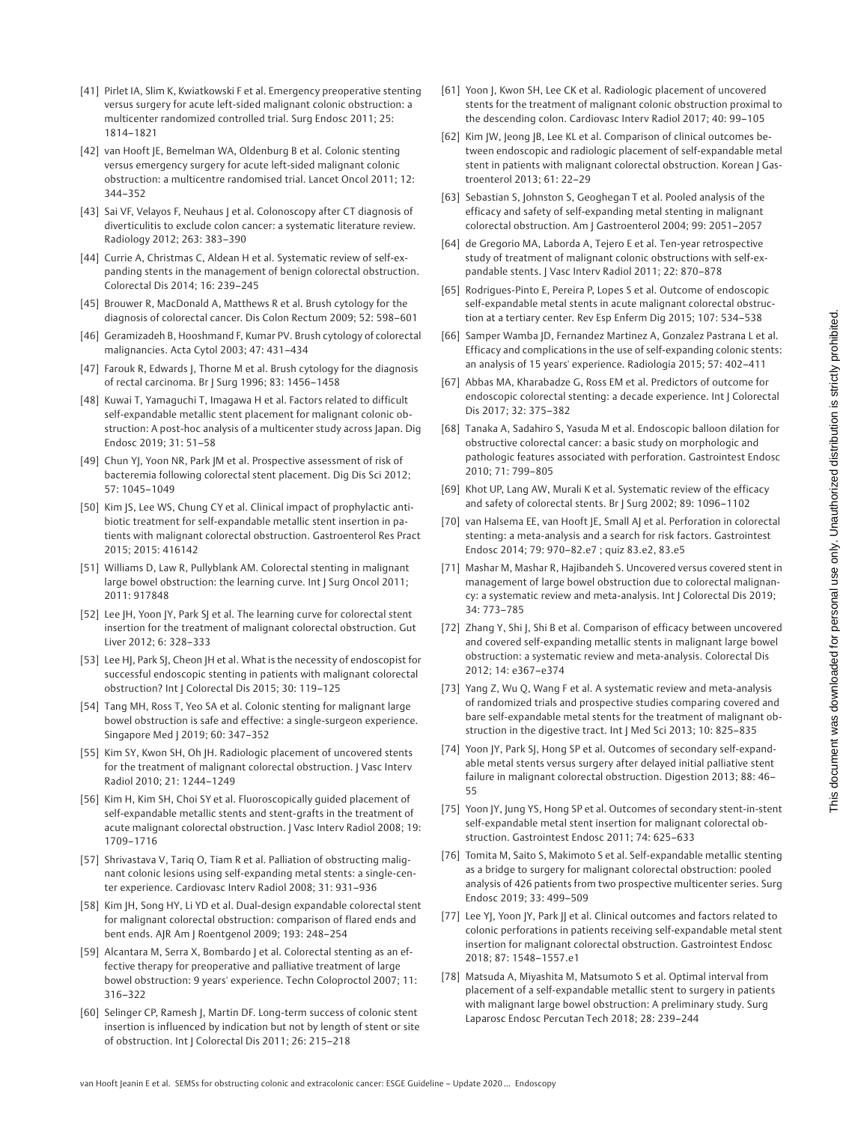- [41] Pirlet IA, Slim K, Kwiatkowski F et al. Emergency preoperative stenting versus surgery for acute left-sided malignant colonic obstruction: a multicenter randomized controlled trial. Surg Endosc 2011; 25: 1814–1821
- [42] van Hooft JE, Bemelman WA, Oldenburg B et al. Colonic stenting versus emergency surgery for acute left-sided malignant colonic obstruction: a multicentre randomised trial. Lancet Oncol 2011; 12: 344–352
- [43] Sai VF, Velayos F, Neuhaus J et al. Colonoscopy after CT diagnosis of diverticulitis to exclude colon cancer: a systematic literature review. Radiology 2012; 263: 383–390
- [44] Currie A, Christmas C, Aldean H et al. Systematic review of self-expanding stents in the management of benign colorectal obstruction. Colorectal Dis 2014; 16: 239–245
- [45] Brouwer R, MacDonald A, Matthews R et al. Brush cytology for the diagnosis of colorectal cancer. Dis Colon Rectum 2009; 52: 598–601
- [46] Geramizadeh B, Hooshmand F, Kumar PV. Brush cytology of colorectal malignancies. Acta Cytol 2003; 47: 431–434
- [47] Farouk R, Edwards J, Thorne M et al. Brush cytology for the diagnosis of rectal carcinoma. Br J Surg 1996; 83: 1456–1458
- [48] Kuwai T, Yamaguchi T, Imagawa H et al. Factors related to difficult self-expandable metallic stent placement for malignant colonic obstruction: A post-hoc analysis of a multicenter study across Japan. Dig Endosc 2019; 31: 51–58
- [49] Chun YJ, Yoon NR, Park JM et al. Prospective assessment of risk of bacteremia following colorectal stent placement. Dig Dis Sci 2012; 57: 1045–1049
- [50] Kim JS, Lee WS, Chung CY et al. Clinical impact of prophylactic antibiotic treatment for self-expandable metallic stent insertion in patients with malignant colorectal obstruction. Gastroenterol Res Pract 2015; 2015: 416142
- [51] Williams D, Law R, Pullyblank AM. Colorectal stenting in malignant large bowel obstruction: the learning curve. Int J Surg Oncol 2011; 2011: 917848
- [52] Lee JH, Yoon JY, Park SJ et al. The learning curve for colorectal stent insertion for the treatment of malignant colorectal obstruction. Gut Liver 2012; 6: 328–333
- [53] Lee HJ, Park SJ, Cheon JH et al. What is the necessity of endoscopist for successful endoscopic stenting in patients with malignant colorectal obstruction? Int | Colorectal Dis 2015; 30: 119-125
- [54] Tang MH, Ross T, Yeo SA et al. Colonic stenting for malignant large bowel obstruction is safe and effective: a single-surgeon experience. Singapore Med J 2019; 60: 347–352
- [55] Kim SY, Kwon SH, Oh JH. Radiologic placement of uncovered stents for the treatment of malignant colorectal obstruction. | Vasc Interv Radiol 2010; 21: 1244–1249
- [56] Kim H, Kim SH, Choi SY et al. Fluoroscopically guided placement of self-expandable metallic stents and stent-grafts in the treatment of acute malignant colorectal obstruction. J Vasc Interv Radiol 2008; 19: 1709–1716
- [57] Shrivastava V, Tariq O, Tiam R et al. Palliation of obstructing malignant colonic lesions using self-expanding metal stents: a single-center experience. Cardiovasc Interv Radiol 2008; 31: 931–936
- [58] Kim JH, Song HY, Li YD et al. Dual-design expandable colorectal stent for malignant colorectal obstruction: comparison of flared ends and bent ends. AJR Am J Roentgenol 2009; 193: 248–254
- [59] Alcantara M, Serra X, Bombardo | et al. Colorectal stenting as an effective therapy for preoperative and palliative treatment of large bowel obstruction: 9 years' experience. Techn Coloproctol 2007; 11: 316–322
- [60] Selinger CP, Ramesh J, Martin DF. Long-term success of colonic stent insertion is influenced by indication but not by length of stent or site of obstruction. Int | Colorectal Dis 2011; 26: 215-218
- [61] Yoon J, Kwon SH, Lee CK et al. Radiologic placement of uncovered stents for the treatment of malignant colonic obstruction proximal to the descending colon. Cardiovasc Interv Radiol 2017; 40: 99–105
- [62] Kim JW, Jeong JB, Lee KL et al. Comparison of clinical outcomes between endoscopic and radiologic placement of self-expandable metal stent in patients with malignant colorectal obstruction. Korean | Gastroenterol 2013; 61: 22–29
- [63] Sebastian S, Johnston S, Geoghegan T et al. Pooled analysis of the efficacy and safety of self-expanding metal stenting in malignant colorectal obstruction. Am J Gastroenterol 2004; 99: 2051–2057
- [64] de Gregorio MA, Laborda A, Tejero E et al. Ten-year retrospective study of treatment of malignant colonic obstructions with self-expandable stents. J Vasc Interv Radiol 2011; 22: 870–878
- [65] Rodrigues-Pinto E, Pereira P, Lopes S et al. Outcome of endoscopic self-expandable metal stents in acute malignant colorectal obstruction at a tertiary center. Rev Esp Enferm Dig 2015; 107: 534–538
- [66] Samper Wamba |D, Fernandez Martinez A, Gonzalez Pastrana L et al. Efficacy and complications in the use of self-expanding colonic stents: an analysis of 15 years' experience. Radiologia 2015; 57: 402–411
- [67] Abbas MA, Kharabadze G, Ross EM et al. Predictors of outcome for endoscopic colorectal stenting: a decade experience. Int J Colorectal Dis 2017; 32: 375–382
- [68] Tanaka A, Sadahiro S, Yasuda M et al. Endoscopic balloon dilation for obstructive colorectal cancer: a basic study on morphologic and pathologic features associated with perforation. Gastrointest Endosc 2010; 71: 799–805
- [69] Khot UP, Lang AW, Murali K et al. Systematic review of the efficacy and safety of colorectal stents. Br J Surg 2002; 89: 1096–1102
- [70] van Halsema EE, van Hooft JE, Small AJ et al. Perforation in colorectal stenting: a meta-analysis and a search for risk factors. Gastrointest Endosc 2014; 79: 970–82.e7 ; quiz 83.e2, 83.e5
- [71] Mashar M, Mashar R, Hajibandeh S. Uncovered versus covered stent in management of large bowel obstruction due to colorectal malignancy: a systematic review and meta-analysis. Int J Colorectal Dis 2019; 34: 773–785
- [72] Zhang Y, Shi J, Shi B et al. Comparison of efficacy between uncovered and covered self-expanding metallic stents in malignant large bowel obstruction: a systematic review and meta-analysis. Colorectal Dis 2012; 14: e367–e374
- [73] Yang Z, Wu Q, Wang F et al. A systematic review and meta-analysis of randomized trials and prospective studies comparing covered and bare self-expandable metal stents for the treatment of malignant obstruction in the digestive tract. Int J Med Sci 2013; 10: 825–835
- [74] Yoon JY, Park SJ, Hong SP et al. Outcomes of secondary self-expandable metal stents versus surgery after delayed initial palliative stent failure in malignant colorectal obstruction. Digestion 2013; 88: 46– 55
- [75] Yoon JY, Jung YS, Hong SP et al. Outcomes of secondary stent-in-stent self-expandable metal stent insertion for malignant colorectal obstruction. Gastrointest Endosc 2011; 74: 625–633
- [76] Tomita M, Saito S, Makimoto S et al. Self-expandable metallic stenting as a bridge to surgery for malignant colorectal obstruction: pooled analysis of 426 patients from two prospective multicenter series. Surg Endosc 2019; 33: 499–509
- [77] Lee YJ, Yoon JY, Park JJ et al. Clinical outcomes and factors related to colonic perforations in patients receiving self-expandable metal stent insertion for malignant colorectal obstruction. Gastrointest Endosc 2018; 87: 1548–1557.e1
- [78] Matsuda A, Miyashita M, Matsumoto S et al. Optimal interval from placement of a self-expandable metallic stent to surgery in patients with malignant large bowel obstruction: A preliminary study. Surg Laparosc Endosc Percutan Tech 2018; 28: 239–244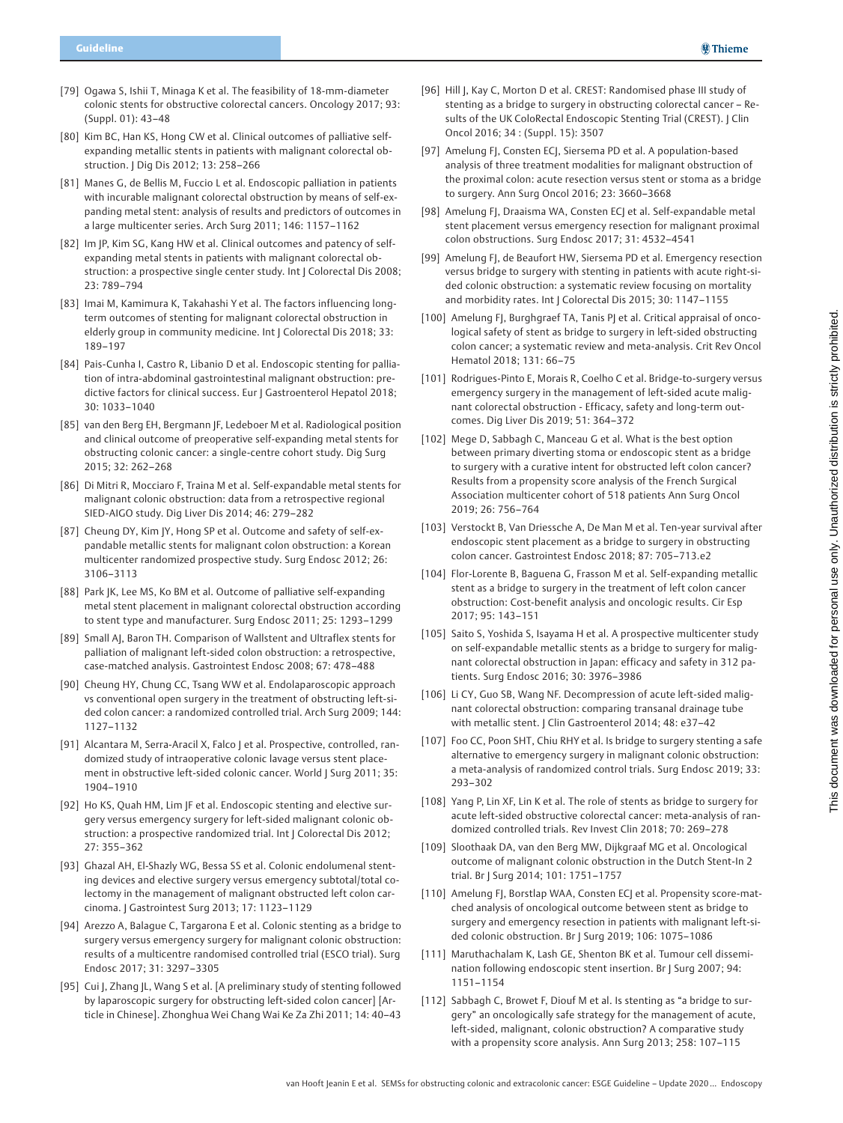- [79] Ogawa S, Ishii T, Minaga K et al. The feasibility of 18-mm-diameter colonic stents for obstructive colorectal cancers. Oncology 2017; 93: (Suppl. 01): 43–48
- [80] Kim BC, Han KS, Hong CW et al. Clinical outcomes of palliative selfexpanding metallic stents in patients with malignant colorectal obstruction. J Dig Dis 2012; 13: 258–266
- [81] Manes G, de Bellis M, Fuccio L et al. Endoscopic palliation in patients with incurable malignant colorectal obstruction by means of self-expanding metal stent: analysis of results and predictors of outcomes in a large multicenter series. Arch Surg 2011; 146: 1157–1162
- [82] Im JP, Kim SG, Kang HW et al. Clinical outcomes and patency of selfexpanding metal stents in patients with malignant colorectal obstruction: a prospective single center study. Int J Colorectal Dis 2008; 23: 789–794
- [83] Imai M, Kamimura K, Takahashi Y et al. The factors influencing longterm outcomes of stenting for malignant colorectal obstruction in elderly group in community medicine. Int J Colorectal Dis 2018; 33: 189–197
- [84] Pais-Cunha I, Castro R, Libanio D et al. Endoscopic stenting for palliation of intra-abdominal gastrointestinal malignant obstruction: predictive factors for clinical success. Eur | Gastroenterol Hepatol 2018; 30: 1033–1040
- [85] van den Berg EH, Bergmann JF, Ledeboer M et al. Radiological position and clinical outcome of preoperative self-expanding metal stents for obstructing colonic cancer: a single-centre cohort study. Dig Surg 2015; 32: 262–268
- [86] Di Mitri R, Mocciaro F, Traina M et al. Self-expandable metal stents for malignant colonic obstruction: data from a retrospective regional SIED-AIGO study. Dig Liver Dis 2014; 46: 279–282
- [87] Cheung DY, Kim JY, Hong SP et al. Outcome and safety of self-expandable metallic stents for malignant colon obstruction: a Korean multicenter randomized prospective study. Surg Endosc 2012; 26: 3106–3113
- [88] Park JK, Lee MS, Ko BM et al. Outcome of palliative self-expanding metal stent placement in malignant colorectal obstruction according to stent type and manufacturer. Surg Endosc 2011; 25: 1293–1299
- [89] Small AJ, Baron TH. Comparison of Wallstent and Ultraflex stents for palliation of malignant left-sided colon obstruction: a retrospective, case-matched analysis. Gastrointest Endosc 2008; 67: 478–488
- [90] Cheung HY, Chung CC, Tsang WW et al. Endolaparoscopic approach vs conventional open surgery in the treatment of obstructing left-sided colon cancer: a randomized controlled trial. Arch Surg 2009; 144: 1127–1132
- [91] Alcantara M, Serra-Aracil X, Falco | et al. Prospective, controlled, randomized study of intraoperative colonic lavage versus stent placement in obstructive left-sided colonic cancer. World J Surg 2011; 35: 1904–1910
- [92] Ho KS, Quah HM, Lim |F et al. Endoscopic stenting and elective surgery versus emergency surgery for left-sided malignant colonic obstruction: a prospective randomized trial. Int J Colorectal Dis 2012; 27: 355–362
- [93] Ghazal AH, El-Shazly WG, Bessa SS et al. Colonic endolumenal stenting devices and elective surgery versus emergency subtotal/total colectomy in the management of malignant obstructed left colon carcinoma. J Gastrointest Surg 2013; 17: 1123–1129
- [94] Arezzo A, Balague C, Targarona E et al. Colonic stenting as a bridge to surgery versus emergency surgery for malignant colonic obstruction: results of a multicentre randomised controlled trial (ESCO trial). Surg Endosc 2017; 31: 3297–3305
- [95] Cui J, Zhang JL, Wang S et al. [A preliminary study of stenting followed by laparoscopic surgery for obstructing left-sided colon cancer] [Article in Chinese]. Zhonghua Wei Chang Wai Ke Za Zhi 2011; 14: 40–43
- [96] Hill J, Kay C, Morton D et al. CREST: Randomised phase III study of stenting as a bridge to surgery in obstructing colorectal cancer – Results of the UK ColoRectal Endoscopic Stenting Trial (CREST). | Clin Oncol 2016; 34 : (Suppl. 15): 3507
- [97] Amelung FJ, Consten ECJ, Siersema PD et al. A population-based analysis of three treatment modalities for malignant obstruction of the proximal colon: acute resection versus stent or stoma as a bridge to surgery. Ann Surg Oncol 2016; 23: 3660–3668
- [98] Amelung FJ, Draaisma WA, Consten ECJ et al. Self-expandable metal stent placement versus emergency resection for malignant proximal colon obstructions. Surg Endosc 2017; 31: 4532–4541
- [99] Amelung FJ, de Beaufort HW, Siersema PD et al. Emergency resection versus bridge to surgery with stenting in patients with acute right-sided colonic obstruction: a systematic review focusing on mortality and morbidity rates. Int | Colorectal Dis 2015; 30: 1147-1155
- [100] Amelung FJ, Burghgraef TA, Tanis PJ et al. Critical appraisal of oncological safety of stent as bridge to surgery in left-sided obstructing colon cancer; a systematic review and meta-analysis. Crit Rev Oncol Hematol 2018; 131: 66–75
- [101] Rodrigues-Pinto E, Morais R, Coelho C et al. Bridge-to-surgery versus emergency surgery in the management of left-sided acute malignant colorectal obstruction - Efficacy, safety and long-term outcomes. Dig Liver Dis 2019; 51: 364–372
- [102] Mege D, Sabbagh C, Manceau G et al. What is the best option between primary diverting stoma or endoscopic stent as a bridge to surgery with a curative intent for obstructed left colon cancer? Results from a propensity score analysis of the French Surgical Association multicenter cohort of 518 patients Ann Surg Oncol 2019; 26: 756–764
- [103] Verstockt B, Van Driessche A, De Man M et al. Ten-year survival after endoscopic stent placement as a bridge to surgery in obstructing colon cancer. Gastrointest Endosc 2018; 87: 705–713.e2
- [104] Flor-Lorente B, Baguena G, Frasson M et al. Self-expanding metallic stent as a bridge to surgery in the treatment of left colon cancer obstruction: Cost-benefit analysis and oncologic results. Cir Esp 2017; 95: 143–151
- [105] Saito S, Yoshida S, Isayama H et al. A prospective multicenter study on self-expandable metallic stents as a bridge to surgery for malignant colorectal obstruction in Japan: efficacy and safety in 312 patients. Surg Endosc 2016; 30: 3976–3986
- [106] Li CY, Guo SB, Wang NF. Decompression of acute left-sided malignant colorectal obstruction: comparing transanal drainage tube with metallic stent. J Clin Gastroenterol 2014; 48: e37–42
- [107] Foo CC, Poon SHT, Chiu RHY et al. Is bridge to surgery stenting a safe alternative to emergency surgery in malignant colonic obstruction: a meta-analysis of randomized control trials. Surg Endosc 2019; 33: 293–302
- [108] Yang P, Lin XF, Lin K et al. The role of stents as bridge to surgery for acute left-sided obstructive colorectal cancer: meta-analysis of randomized controlled trials. Rev Invest Clin 2018; 70: 269–278
- [109] Sloothaak DA, van den Berg MW, Dijkgraaf MG et al. Oncological outcome of malignant colonic obstruction in the Dutch Stent-In 2 trial. Br J Surg 2014; 101: 1751–1757
- [110] Amelung FJ, Borstlap WAA, Consten ECJ et al. Propensity score-matched analysis of oncological outcome between stent as bridge to surgery and emergency resection in patients with malignant left-sided colonic obstruction. Br J Surg 2019; 106: 1075–1086
- [111] Maruthachalam K, Lash GE, Shenton BK et al. Tumour cell dissemination following endoscopic stent insertion. Br J Surg 2007; 94: 1151–1154
- [112] Sabbagh C, Browet F, Diouf M et al. Is stenting as "a bridge to surgery" an oncologically safe strategy for the management of acute, left-sided, malignant, colonic obstruction? A comparative study with a propensity score analysis. Ann Surg 2013; 258: 107–115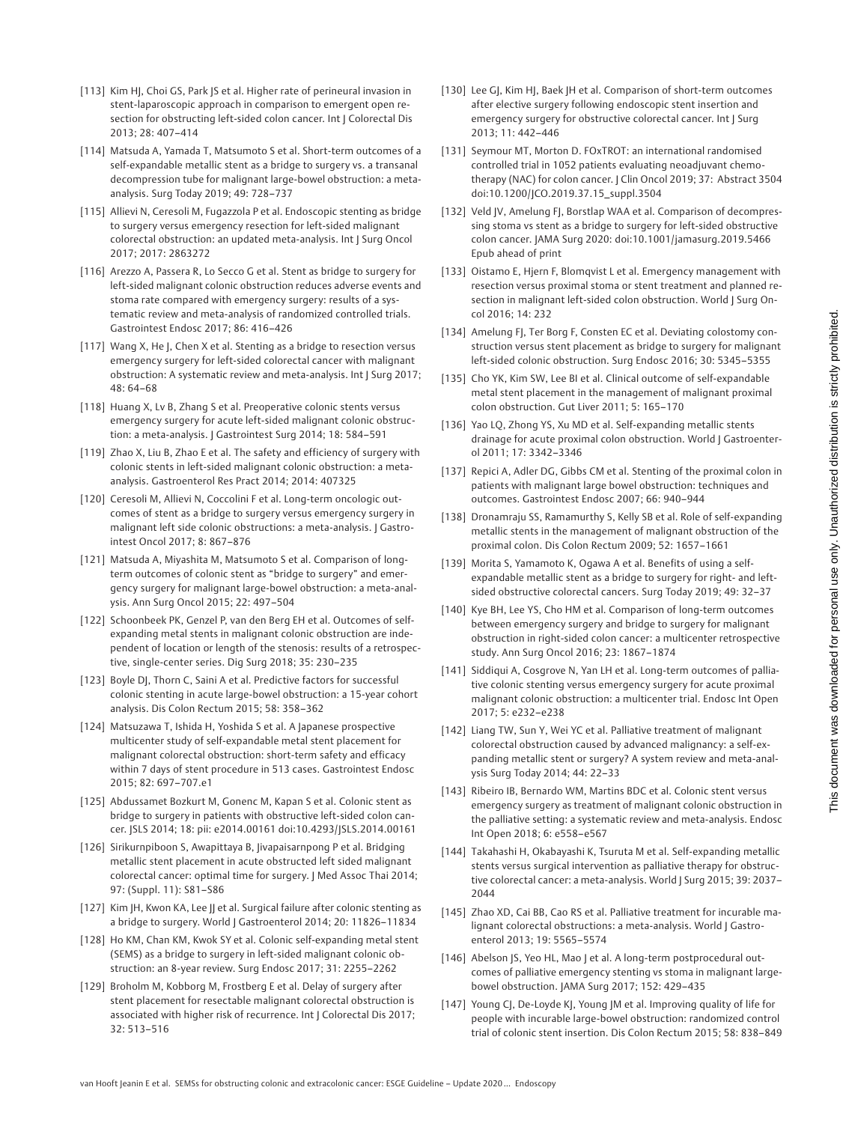- [113] Kim HJ, Choi GS, Park JS et al. Higher rate of perineural invasion in stent-laparoscopic approach in comparison to emergent open resection for obstructing left-sided colon cancer. Int J Colorectal Dis 2013; 28: 407–414
- [114] Matsuda A, Yamada T, Matsumoto S et al. Short-term outcomes of a self-expandable metallic stent as a bridge to surgery vs. a transanal decompression tube for malignant large-bowel obstruction: a metaanalysis. Surg Today 2019; 49: 728–737
- [115] Allievi N, Ceresoli M, Fugazzola P et al. Endoscopic stenting as bridge to surgery versus emergency resection for left-sided malignant colorectal obstruction: an updated meta-analysis. Int J Surg Oncol 2017; 2017: 2863272
- [116] Arezzo A, Passera R, Lo Secco G et al. Stent as bridge to surgery for left-sided malignant colonic obstruction reduces adverse events and stoma rate compared with emergency surgery: results of a systematic review and meta-analysis of randomized controlled trials. Gastrointest Endosc 2017; 86: 416–426
- [117] Wang X, He J, Chen X et al. Stenting as a bridge to resection versus emergency surgery for left-sided colorectal cancer with malignant obstruction: A systematic review and meta-analysis. Int J Surg 2017; 48: 64–68
- [118] Huang X, Lv B, Zhang S et al. Preoperative colonic stents versus emergency surgery for acute left-sided malignant colonic obstruction: a meta-analysis. J Gastrointest Surg 2014; 18: 584–591
- [119] Zhao X, Liu B, Zhao E et al. The safety and efficiency of surgery with colonic stents in left-sided malignant colonic obstruction: a metaanalysis. Gastroenterol Res Pract 2014; 2014: 407325
- [120] Ceresoli M, Allievi N, Coccolini F et al. Long-term oncologic outcomes of stent as a bridge to surgery versus emergency surgery in malignant left side colonic obstructions: a meta-analysis. J Gastrointest Oncol 2017; 8: 867–876
- [121] Matsuda A, Miyashita M, Matsumoto S et al. Comparison of longterm outcomes of colonic stent as "bridge to surgery" and emergency surgery for malignant large-bowel obstruction: a meta-analysis. Ann Surg Oncol 2015; 22: 497–504
- [122] Schoonbeek PK, Genzel P, van den Berg EH et al. Outcomes of selfexpanding metal stents in malignant colonic obstruction are independent of location or length of the stenosis: results of a retrospective, single-center series. Dig Surg 2018; 35: 230–235
- [123] Boyle DJ, Thorn C, Saini A et al. Predictive factors for successful colonic stenting in acute large-bowel obstruction: a 15-year cohort analysis. Dis Colon Rectum 2015; 58: 358–362
- [124] Matsuzawa T, Ishida H, Yoshida S et al. A Japanese prospective multicenter study of self-expandable metal stent placement for malignant colorectal obstruction: short-term safety and efficacy within 7 days of stent procedure in 513 cases. Gastrointest Endosc 2015; 82: 697–707.e1
- [125] Abdussamet Bozkurt M, Gonenc M, Kapan S et al. Colonic stent as bridge to surgery in patients with obstructive left-sided colon cancer. JSLS 2014; 18: pii: e2014.00161 doi:10.4293/JSLS.2014.00161
- [126] Sirikurnpiboon S, Awapittaya B, Jivapaisarnpong P et al. Bridging metallic stent placement in acute obstructed left sided malignant colorectal cancer: optimal time for surgery. J Med Assoc Thai 2014; 97: (Suppl. 11): S81–S86
- [127] Kim JH, Kwon KA, Lee JJ et al. Surgical failure after colonic stenting as a bridge to surgery. World J Gastroenterol 2014; 20: 11826–11834
- [128] Ho KM, Chan KM, Kwok SY et al. Colonic self-expanding metal stent (SEMS) as a bridge to surgery in left-sided malignant colonic obstruction: an 8-year review. Surg Endosc 2017; 31: 2255–2262
- [129] Broholm M, Kobborg M, Frostberg E et al. Delay of surgery after stent placement for resectable malignant colorectal obstruction is associated with higher risk of recurrence. Int | Colorectal Dis 2017; 32: 513–516
- [130] Lee GJ, Kim HJ, Baek JH et al. Comparison of short-term outcomes after elective surgery following endoscopic stent insertion and emergency surgery for obstructive colorectal cancer. Int | Surg 2013; 11: 442–446
- [131] Seymour MT, Morton D. FOxTROT: an international randomised controlled trial in 1052 patients evaluating neoadjuvant chemotherapy (NAC) for colon cancer. | Clin Oncol 2019; 37: Abstract 3504 doi:10.1200/JCO.2019.37.15\_suppl.3504
- [132] Veld JV, Amelung FJ, Borstlap WAA et al. Comparison of decompressing stoma vs stent as a bridge to surgery for left-sided obstructive colon cancer. JAMA Surg 2020: doi:10.1001/jamasurg.2019.5466 Epub ahead of print
- [133] Oistamo E, Hjern F, Blomqvist L et al. Emergency management with resection versus proximal stoma or stent treatment and planned resection in malignant left-sided colon obstruction. World | Surg Oncol 2016; 14: 232
- [134] Amelung FJ, Ter Borg F, Consten EC et al. Deviating colostomy construction versus stent placement as bridge to surgery for malignant left-sided colonic obstruction. Surg Endosc 2016; 30: 5345–5355
- [135] Cho YK, Kim SW, Lee BI et al. Clinical outcome of self-expandable metal stent placement in the management of malignant proximal colon obstruction. Gut Liver 2011; 5: 165–170
- [136] Yao LQ, Zhong YS, Xu MD et al. Self-expanding metallic stents drainage for acute proximal colon obstruction. World | Gastroenterol 2011; 17: 3342–3346
- [137] Repici A, Adler DG, Gibbs CM et al. Stenting of the proximal colon in patients with malignant large bowel obstruction: techniques and outcomes. Gastrointest Endosc 2007; 66: 940–944
- [138] Dronamraju SS, Ramamurthy S, Kelly SB et al. Role of self-expanding metallic stents in the management of malignant obstruction of the proximal colon. Dis Colon Rectum 2009; 52: 1657–1661
- [139] Morita S, Yamamoto K, Ogawa A et al. Benefits of using a selfexpandable metallic stent as a bridge to surgery for right- and leftsided obstructive colorectal cancers. Surg Today 2019; 49: 32–37
- [140] Kye BH, Lee YS, Cho HM et al. Comparison of long-term outcomes between emergency surgery and bridge to surgery for malignant obstruction in right-sided colon cancer: a multicenter retrospective study. Ann Surg Oncol 2016; 23: 1867–1874
- [141] Siddiqui A, Cosgrove N, Yan LH et al. Long-term outcomes of palliative colonic stenting versus emergency surgery for acute proximal malignant colonic obstruction: a multicenter trial. Endosc Int Open 2017; 5: e232–e238
- [142] Liang TW, Sun Y, Wei YC et al. Palliative treatment of malignant colorectal obstruction caused by advanced malignancy: a self-expanding metallic stent or surgery? A system review and meta-analysis Surg Today 2014; 44: 22–33
- [143] Ribeiro IB, Bernardo WM, Martins BDC et al. Colonic stent versus emergency surgery as treatment of malignant colonic obstruction in the palliative setting: a systematic review and meta-analysis. Endosc Int Open 2018; 6: e558–e567
- [144] Takahashi H, Okabayashi K, Tsuruta M et al. Self-expanding metallic stents versus surgical intervention as palliative therapy for obstructive colorectal cancer: a meta-analysis. World J Surg 2015; 39: 2037– 2044
- [145] Zhao XD, Cai BB, Cao RS et al. Palliative treatment for incurable malignant colorectal obstructions: a meta-analysis. World J Gastroenterol 2013; 19: 5565–5574
- [146] Abelson JS, Yeo HL, Mao J et al. A long-term postprocedural outcomes of palliative emergency stenting vs stoma in malignant largebowel obstruction. JAMA Surg 2017; 152: 429–435
- [147] Young CJ, De-Loyde KJ, Young JM et al. Improving quality of life for people with incurable large-bowel obstruction: randomized control trial of colonic stent insertion. Dis Colon Rectum 2015; 58: 838–849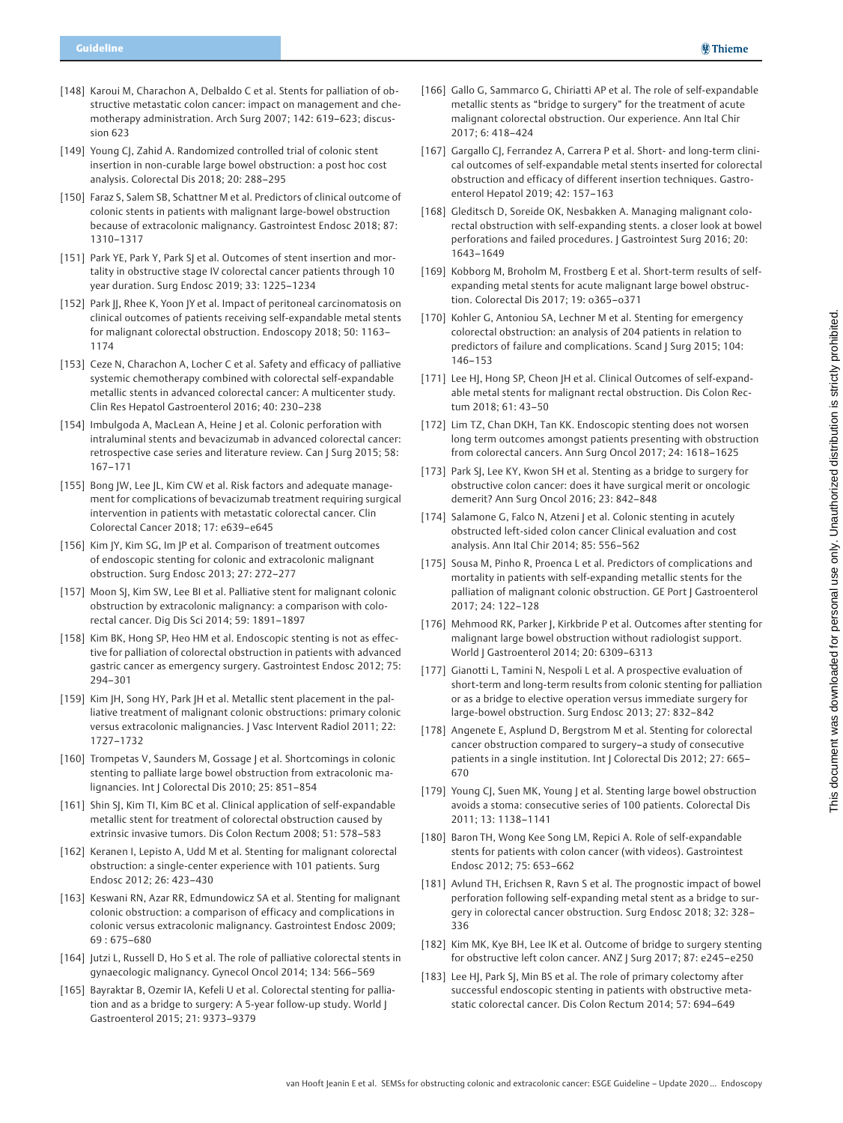- [148] Karoui M, Charachon A, Delbaldo C et al. Stents for palliation of obstructive metastatic colon cancer: impact on management and chemotherapy administration. Arch Surg 2007; 142: 619–623; discussion 623
- [149] Young CJ, Zahid A. Randomized controlled trial of colonic stent insertion in non-curable large bowel obstruction: a post hoc cost analysis. Colorectal Dis 2018; 20: 288–295
- [150] Faraz S, Salem SB, Schattner M et al. Predictors of clinical outcome of colonic stents in patients with malignant large-bowel obstruction because of extracolonic malignancy. Gastrointest Endosc 2018; 87: 1310–1317
- [151] Park YE, Park Y, Park SJ et al. Outcomes of stent insertion and mortality in obstructive stage IV colorectal cancer patients through 10 year duration. Surg Endosc 2019; 33: 1225–1234
- [152] Park JJ, Rhee K, Yoon JY et al. Impact of peritoneal carcinomatosis on clinical outcomes of patients receiving self-expandable metal stents for malignant colorectal obstruction. Endoscopy 2018; 50: 1163– 1174
- [153] Ceze N, Charachon A, Locher C et al. Safety and efficacy of palliative systemic chemotherapy combined with colorectal self-expandable metallic stents in advanced colorectal cancer: A multicenter study. Clin Res Hepatol Gastroenterol 2016; 40: 230–238
- [154] Imbulgoda A, MacLean A, Heine | et al. Colonic perforation with intraluminal stents and bevacizumab in advanced colorectal cancer: retrospective case series and literature review. Can | Surg 2015; 58: 167–171
- [155] Bong JW, Lee JL, Kim CW et al. Risk factors and adequate management for complications of bevacizumab treatment requiring surgical intervention in patients with metastatic colorectal cancer. Clin Colorectal Cancer 2018; 17: e639–e645
- [156] Kim JY, Kim SG, Im JP et al. Comparison of treatment outcomes of endoscopic stenting for colonic and extracolonic malignant obstruction. Surg Endosc 2013; 27: 272–277
- [157] Moon SJ, Kim SW, Lee BI et al. Palliative stent for malignant colonic obstruction by extracolonic malignancy: a comparison with colorectal cancer. Dig Dis Sci 2014; 59: 1891–1897
- [158] Kim BK, Hong SP, Heo HM et al. Endoscopic stenting is not as effective for palliation of colorectal obstruction in patients with advanced gastric cancer as emergency surgery. Gastrointest Endosc 2012; 75: 294–301
- [159] Kim JH, Song HY, Park JH et al. Metallic stent placement in the palliative treatment of malignant colonic obstructions: primary colonic versus extracolonic malignancies. | Vasc Intervent Radiol 2011; 22: 1727–1732
- [160] Trompetas V, Saunders M, Gossage J et al. Shortcomings in colonic stenting to palliate large bowel obstruction from extracolonic malignancies. Int J Colorectal Dis 2010; 25: 851–854
- [161] Shin SJ, Kim TI, Kim BC et al. Clinical application of self-expandable metallic stent for treatment of colorectal obstruction caused by extrinsic invasive tumors. Dis Colon Rectum 2008; 51: 578–583
- [162] Keranen I, Lepisto A, Udd M et al. Stenting for malignant colorectal obstruction: a single-center experience with 101 patients. Surg Endosc 2012; 26: 423–430
- [163] Keswani RN, Azar RR, Edmundowicz SA et al. Stenting for malignant colonic obstruction: a comparison of efficacy and complications in colonic versus extracolonic malignancy. Gastrointest Endosc 2009; 69 : 675–680
- [164] Jutzi L, Russell D, Ho S et al. The role of palliative colorectal stents in gynaecologic malignancy. Gynecol Oncol 2014; 134: 566–569
- [165] Bayraktar B, Ozemir IA, Kefeli U et al. Colorectal stenting for palliation and as a bridge to surgery: A 5-year follow-up study. World J Gastroenterol 2015; 21: 9373–9379
- [166] Gallo G, Sammarco G, Chiriatti AP et al. The role of self-expandable metallic stents as "bridge to surgery" for the treatment of acute malignant colorectal obstruction. Our experience. Ann Ital Chir 2017; 6: 418–424
- [167] Gargallo CJ, Ferrandez A, Carrera P et al. Short- and long-term clinical outcomes of self-expandable metal stents inserted for colorectal obstruction and efficacy of different insertion techniques. Gastroenterol Hepatol 2019; 42: 157–163
- [168] Gleditsch D, Soreide OK, Nesbakken A. Managing malignant colorectal obstruction with self-expanding stents. a closer look at bowel perforations and failed procedures. J Gastrointest Surg 2016; 20: 1643–1649
- [169] Kobborg M, Broholm M, Frostberg E et al. Short-term results of selfexpanding metal stents for acute malignant large bowel obstruction. Colorectal Dis 2017; 19: o365–o371
- [170] Kohler G, Antoniou SA, Lechner M et al. Stenting for emergency colorectal obstruction: an analysis of 204 patients in relation to predictors of failure and complications. Scand | Surg 2015; 104: 146–153
- [171] Lee HJ, Hong SP, Cheon JH et al. Clinical Outcomes of self-expandable metal stents for malignant rectal obstruction. Dis Colon Rectum 2018; 61: 43–50
- [172] Lim TZ, Chan DKH, Tan KK. Endoscopic stenting does not worsen long term outcomes amongst patients presenting with obstruction from colorectal cancers. Ann Surg Oncol 2017; 24: 1618–1625
- [173] Park SJ, Lee KY, Kwon SH et al. Stenting as a bridge to surgery for obstructive colon cancer: does it have surgical merit or oncologic demerit? Ann Surg Oncol 2016; 23: 842–848
- [174] Salamone G, Falco N, Atzeni J et al. Colonic stenting in acutely obstructed left-sided colon cancer Clinical evaluation and cost analysis. Ann Ital Chir 2014; 85: 556–562
- [175] Sousa M, Pinho R, Proenca L et al. Predictors of complications and mortality in patients with self-expanding metallic stents for the palliation of malignant colonic obstruction. GE Port | Gastroenterol 2017; 24: 122–128
- [176] Mehmood RK, Parker J, Kirkbride P et al. Outcomes after stenting for malignant large bowel obstruction without radiologist support. World J Gastroenterol 2014; 20: 6309–6313
- [177] Gianotti L, Tamini N, Nespoli L et al. A prospective evaluation of short-term and long-term results from colonic stenting for palliation or as a bridge to elective operation versus immediate surgery for large-bowel obstruction. Surg Endosc 2013; 27: 832–842
- [178] Angenete E, Asplund D, Bergstrom M et al. Stenting for colorectal cancer obstruction compared to surgery–a study of consecutive patients in a single institution. Int J Colorectal Dis 2012; 27: 665-670
- [179] Young CJ, Suen MK, Young J et al. Stenting large bowel obstruction avoids a stoma: consecutive series of 100 patients. Colorectal Dis 2011; 13: 1138–1141
- [180] Baron TH, Wong Kee Song LM, Repici A. Role of self-expandable stents for patients with colon cancer (with videos). Gastrointest Endosc 2012; 75: 653–662
- [181] Avlund TH, Erichsen R, Ravn S et al. The prognostic impact of bowel perforation following self-expanding metal stent as a bridge to surgery in colorectal cancer obstruction. Surg Endosc 2018; 32: 328– 336
- [182] Kim MK, Kye BH, Lee IK et al. Outcome of bridge to surgery stenting for obstructive left colon cancer. ANZ | Surg 2017; 87: e245-e250
- [183] Lee HJ, Park SJ, Min BS et al. The role of primary colectomy after successful endoscopic stenting in patients with obstructive metastatic colorectal cancer. Dis Colon Rectum 2014; 57: 694–649